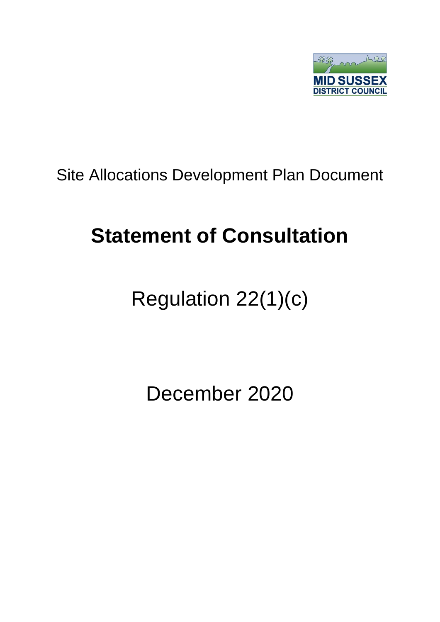

## Site Allocations Development Plan Document

# **Statement of Consultation**

# Regulation 22(1)(c)

December 2020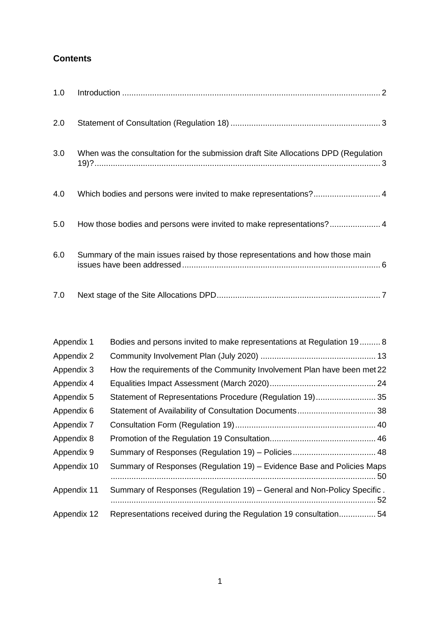### **Contents**

| 1.0 |                                                                                     |  |
|-----|-------------------------------------------------------------------------------------|--|
| 2.0 |                                                                                     |  |
| 3.0 | When was the consultation for the submission draft Site Allocations DPD (Regulation |  |
| 4.0 | Which bodies and persons were invited to make representations? 4                    |  |
| 5.0 | How those bodies and persons were invited to make representations? 4                |  |
| 6.0 | Summary of the main issues raised by those representations and how those main       |  |
| 7.0 |                                                                                     |  |

| Appendix 1  | Bodies and persons invited to make representations at Regulation 19 8   |  |
|-------------|-------------------------------------------------------------------------|--|
| Appendix 2  |                                                                         |  |
| Appendix 3  | How the requirements of the Community Involvement Plan have been met 22 |  |
| Appendix 4  |                                                                         |  |
| Appendix 5  | Statement of Representations Procedure (Regulation 19) 35               |  |
| Appendix 6  |                                                                         |  |
| Appendix 7  |                                                                         |  |
| Appendix 8  |                                                                         |  |
| Appendix 9  |                                                                         |  |
| Appendix 10 | Summary of Responses (Regulation 19) – Evidence Base and Policies Maps  |  |
| Appendix 11 | Summary of Responses (Regulation 19) - General and Non-Policy Specific. |  |
| Appendix 12 | Representations received during the Regulation 19 consultation54        |  |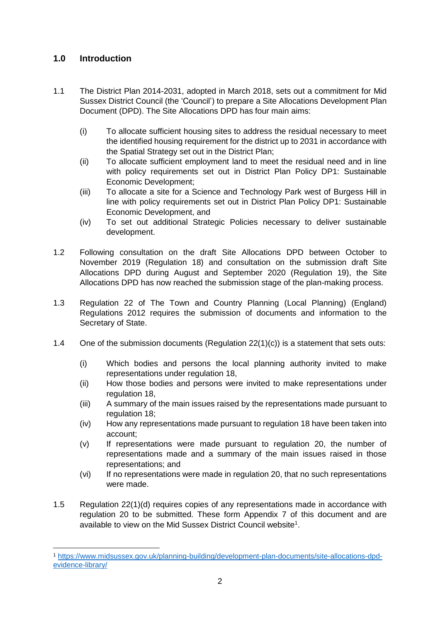### <span id="page-2-0"></span>**1.0 Introduction**

1

- 1.1 The District Plan 2014-2031, adopted in March 2018, sets out a commitment for Mid Sussex District Council (the 'Council') to prepare a Site Allocations Development Plan Document (DPD). The Site Allocations DPD has four main aims:
	- (i) To allocate sufficient housing sites to address the residual necessary to meet the identified housing requirement for the district up to 2031 in accordance with the Spatial Strategy set out in the District Plan;
	- (ii) To allocate sufficient employment land to meet the residual need and in line with policy requirements set out in District Plan Policy DP1: Sustainable Economic Development;
	- (iii) To allocate a site for a Science and Technology Park west of Burgess Hill in line with policy requirements set out in District Plan Policy DP1: Sustainable Economic Development, and
	- (iv) To set out additional Strategic Policies necessary to deliver sustainable development.
- 1.2 Following consultation on the draft Site Allocations DPD between October to November 2019 (Regulation 18) and consultation on the submission draft Site Allocations DPD during August and September 2020 (Regulation 19), the Site Allocations DPD has now reached the submission stage of the plan-making process.
- 1.3 Regulation 22 of The Town and Country Planning (Local Planning) (England) Regulations 2012 requires the submission of documents and information to the Secretary of State.
- 1.4 One of the submission documents (Regulation 22(1)(c)) is a statement that sets outs:
	- (i) Which bodies and persons the local planning authority invited to make representations under regulation 18,
	- (ii) How those bodies and persons were invited to make representations under regulation 18.
	- (iii) A summary of the main issues raised by the representations made pursuant to regulation 18;
	- (iv) How any representations made pursuant to regulation 18 have been taken into account;
	- (v) If representations were made pursuant to regulation 20, the number of representations made and a summary of the main issues raised in those representations; and
	- (vi) If no representations were made in regulation 20, that no such representations were made.
- 1.5 Regulation 22(1)(d) requires copies of any representations made in accordance with regulation 20 to be submitted. These form Appendix 7 of this document and are available to view on the Mid Sussex District Council website<sup>1</sup>.

<sup>1</sup> [https://www.midsussex.gov.uk/planning-building/development-plan-documents/site-allocations-dpd](https://www.midsussex.gov.uk/planning-building/development-plan-documents/site-allocations-dpd-evidence-library/)[evidence-library/](https://www.midsussex.gov.uk/planning-building/development-plan-documents/site-allocations-dpd-evidence-library/)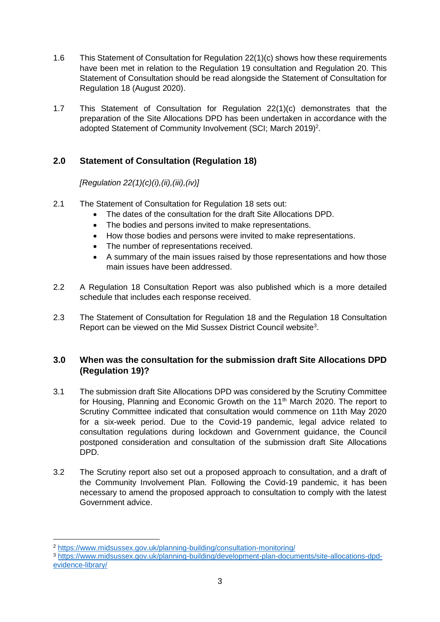- 1.6 This Statement of Consultation for Regulation 22(1)(c) shows how these requirements have been met in relation to the Regulation 19 consultation and Regulation 20. This Statement of Consultation should be read alongside the Statement of Consultation for Regulation 18 (August 2020).
- 1.7 This Statement of Consultation for Regulation 22(1)(c) demonstrates that the preparation of the Site Allocations DPD has been undertaken in accordance with the adopted Statement of Community Involvement (SCI; March 2019)<sup>2</sup>.

### <span id="page-3-0"></span>**2.0 Statement of Consultation (Regulation 18)**

*[Regulation 22(1)(c)(i),(ii),(iii),(iv)]*

- 2.1 The Statement of Consultation for Regulation 18 sets out:
	- The dates of the consultation for the draft Site Allocations DPD.
	- The bodies and persons invited to make representations.
	- How those bodies and persons were invited to make representations.
	- The number of representations received.
	- A summary of the main issues raised by those representations and how those main issues have been addressed.
- 2.2 A Regulation 18 Consultation Report was also published which is a more detailed schedule that includes each response received.
- 2.3 The Statement of Consultation for Regulation 18 and the Regulation 18 Consultation Report can be viewed on the Mid Sussex District Council website<sup>3</sup>.

### <span id="page-3-1"></span>**3.0 When was the consultation for the submission draft Site Allocations DPD (Regulation 19)?**

- 3.1 The submission draft Site Allocations DPD was considered by the Scrutiny Committee for Housing. Planning and Economic Growth on the 11<sup>th</sup> March 2020. The report to Scrutiny Committee indicated that consultation would commence on 11th May 2020 for a six-week period. Due to the Covid-19 pandemic, legal advice related to consultation regulations during lockdown and Government guidance, the Council postponed consideration and consultation of the submission draft Site Allocations DPD.
- 3.2 The Scrutiny report also set out a proposed approach to consultation, and a draft of the Community Involvement Plan. Following the Covid-19 pandemic, it has been necessary to amend the proposed approach to consultation to comply with the latest Government advice.

 $\overline{a}$ 

<sup>2</sup> <https://www.midsussex.gov.uk/planning-building/consultation-monitoring/>

<sup>3</sup> [https://www.midsussex.gov.uk/planning-building/development-plan-documents/site-allocations-dpd](https://www.midsussex.gov.uk/planning-building/development-plan-documents/site-allocations-dpd-evidence-library/)[evidence-library/](https://www.midsussex.gov.uk/planning-building/development-plan-documents/site-allocations-dpd-evidence-library/)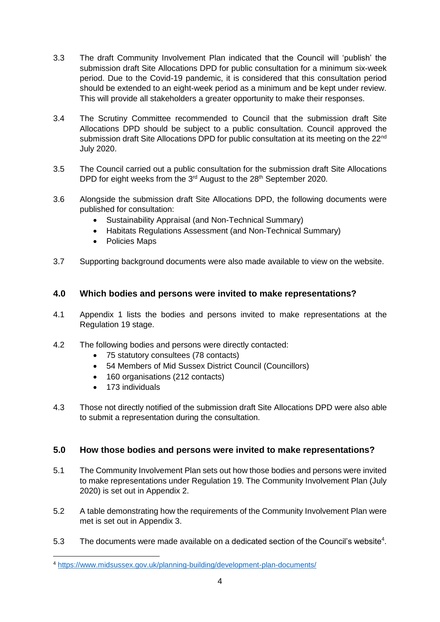- 3.3 The draft Community Involvement Plan indicated that the Council will 'publish' the submission draft Site Allocations DPD for public consultation for a minimum six-week period. Due to the Covid-19 pandemic, it is considered that this consultation period should be extended to an eight-week period as a minimum and be kept under review. This will provide all stakeholders a greater opportunity to make their responses.
- 3.4 The Scrutiny Committee recommended to Council that the submission draft Site Allocations DPD should be subject to a public consultation. Council approved the submission draft Site Allocations DPD for public consultation at its meeting on the 22<sup>nd</sup> July 2020.
- 3.5 The Council carried out a public consultation for the submission draft Site Allocations DPD for eight weeks from the 3<sup>rd</sup> August to the 28<sup>th</sup> September 2020.
- 3.6 Alongside the submission draft Site Allocations DPD, the following documents were published for consultation:
	- Sustainability Appraisal (and Non-Technical Summary)
	- Habitats Regulations Assessment (and Non-Technical Summary)
	- Policies Maps
- 3.7 Supporting background documents were also made available to view on the website.

### <span id="page-4-0"></span>**4.0 Which bodies and persons were invited to make representations?**

- 4.1 Appendix 1 lists the bodies and persons invited to make representations at the Regulation 19 stage.
- 4.2 The following bodies and persons were directly contacted:
	- 75 statutory consultees (78 contacts)
	- 54 Members of Mid Sussex District Council (Councillors)
	- 160 organisations (212 contacts)
	- 173 individuals
- 4.3 Those not directly notified of the submission draft Site Allocations DPD were also able to submit a representation during the consultation.

### <span id="page-4-1"></span>**5.0 How those bodies and persons were invited to make representations?**

- 5.1 The Community Involvement Plan sets out how those bodies and persons were invited to make representations under Regulation 19. The Community Involvement Plan (July 2020) is set out in Appendix 2.
- 5.2 A table demonstrating how the requirements of the Community Involvement Plan were met is set out in Appendix 3.
- 5.3 The documents were made available on a dedicated section of the Council's website<sup>4</sup>.

**<sup>.</sup>** <sup>4</sup> <https://www.midsussex.gov.uk/planning-building/development-plan-documents/>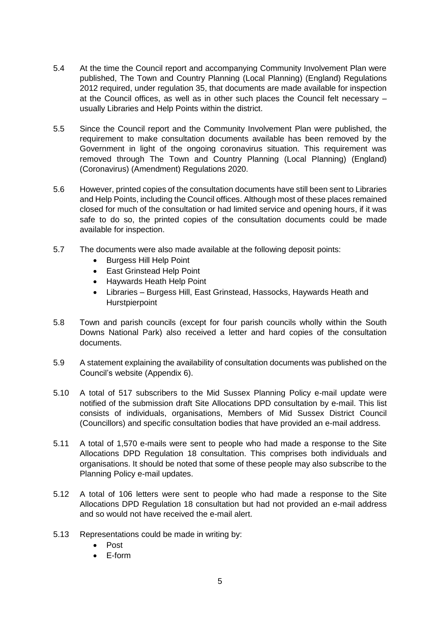- 5.4 At the time the Council report and accompanying Community Involvement Plan were published, The Town and Country Planning (Local Planning) (England) Regulations 2012 required, under regulation 35, that documents are made available for inspection at the Council offices, as well as in other such places the Council felt necessary – usually Libraries and Help Points within the district.
- 5.5 Since the Council report and the Community Involvement Plan were published, the requirement to make consultation documents available has been removed by the Government in light of the ongoing coronavirus situation. This requirement was removed through The Town and Country Planning (Local Planning) (England) (Coronavirus) (Amendment) Regulations 2020.
- 5.6 However, printed copies of the consultation documents have still been sent to Libraries and Help Points, including the Council offices. Although most of these places remained closed for much of the consultation or had limited service and opening hours, if it was safe to do so, the printed copies of the consultation documents could be made available for inspection.
- 5.7 The documents were also made available at the following deposit points:
	- Burgess Hill Help Point
	- East Grinstead Help Point
	- Haywards Heath Help Point
	- Libraries Burgess Hill, East Grinstead, Hassocks, Haywards Heath and **Hurstpierpoint**
- 5.8 Town and parish councils (except for four parish councils wholly within the South Downs National Park) also received a letter and hard copies of the consultation documents.
- 5.9 A statement explaining the availability of consultation documents was published on the Council's website (Appendix 6).
- 5.10 A total of 517 subscribers to the Mid Sussex Planning Policy e-mail update were notified of the submission draft Site Allocations DPD consultation by e-mail. This list consists of individuals, organisations, Members of Mid Sussex District Council (Councillors) and specific consultation bodies that have provided an e-mail address.
- 5.11 A total of 1,570 e-mails were sent to people who had made a response to the Site Allocations DPD Regulation 18 consultation. This comprises both individuals and organisations. It should be noted that some of these people may also subscribe to the Planning Policy e-mail updates.
- 5.12 A total of 106 letters were sent to people who had made a response to the Site Allocations DPD Regulation 18 consultation but had not provided an e-mail address and so would not have received the e-mail alert.
- 5.13 Representations could be made in writing by:
	- Post
	- E-form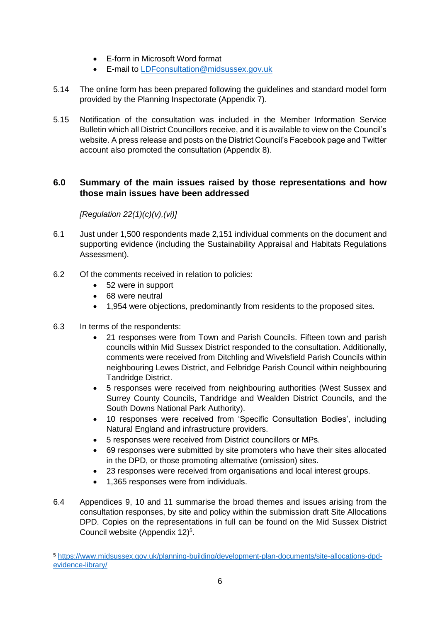- E-form in Microsoft Word format
- E-mail to [LDFconsultation@midsussex.gov.uk](mailto:LDFconsultation@midsussex.gov.uk)
- 5.14 The online form has been prepared following the guidelines and standard model form provided by the Planning Inspectorate (Appendix 7).
- 5.15 Notification of the consultation was included in the Member Information Service Bulletin which all District Councillors receive, and it is available to view on the Council's website. A press release and posts on the District Council's Facebook page and Twitter account also promoted the consultation (Appendix 8).

### <span id="page-6-0"></span>**6.0 Summary of the main issues raised by those representations and how those main issues have been addressed**

*[Regulation 22(1)(c)(v),(vi)]*

- 6.1 Just under 1,500 respondents made 2,151 individual comments on the document and supporting evidence (including the Sustainability Appraisal and Habitats Regulations Assessment).
- 6.2 Of the comments received in relation to policies:
	- 52 were in support
	- 68 were neutral
	- 1,954 were objections, predominantly from residents to the proposed sites.
- 6.3 In terms of the respondents:

1

- 21 responses were from Town and Parish Councils. Fifteen town and parish councils within Mid Sussex District responded to the consultation. Additionally, comments were received from Ditchling and Wivelsfield Parish Councils within neighbouring Lewes District, and Felbridge Parish Council within neighbouring Tandridge District.
- 5 responses were received from neighbouring authorities (West Sussex and Surrey County Councils, Tandridge and Wealden District Councils, and the South Downs National Park Authority).
- 10 responses were received from 'Specific Consultation Bodies', including Natural England and infrastructure providers.
- 5 responses were received from District councillors or MPs.
- 69 responses were submitted by site promoters who have their sites allocated in the DPD, or those promoting alternative (omission) sites.
- 23 responses were received from organisations and local interest groups.
- 1,365 responses were from individuals.
- 6.4 Appendices 9, 10 and 11 summarise the broad themes and issues arising from the consultation responses, by site and policy within the submission draft Site Allocations DPD. Copies on the representations in full can be found on the Mid Sussex District Council website (Appendix 12) 5 .

<sup>5</sup> [https://www.midsussex.gov.uk/planning-building/development-plan-documents/site-allocations-dpd](https://www.midsussex.gov.uk/planning-building/development-plan-documents/site-allocations-dpd-evidence-library/)[evidence-library/](https://www.midsussex.gov.uk/planning-building/development-plan-documents/site-allocations-dpd-evidence-library/)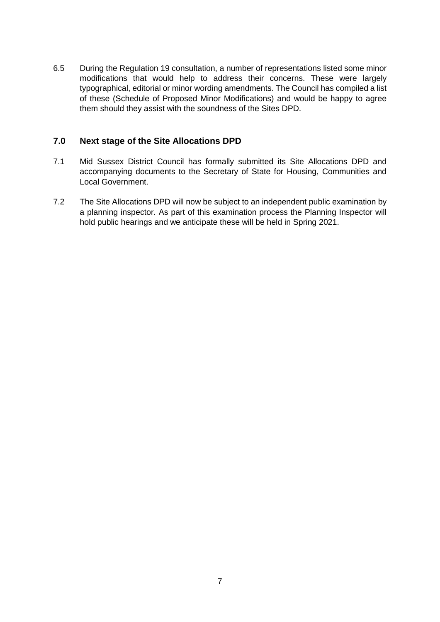6.5 During the Regulation 19 consultation, a number of representations listed some minor modifications that would help to address their concerns. These were largely typographical, editorial or minor wording amendments. The Council has compiled a list of these (Schedule of Proposed Minor Modifications) and would be happy to agree them should they assist with the soundness of the Sites DPD.

### <span id="page-7-0"></span>**7.0 Next stage of the Site Allocations DPD**

- 7.1 Mid Sussex District Council has formally submitted its Site Allocations DPD and accompanying documents to the Secretary of State for Housing, Communities and Local Government.
- 7.2 The Site Allocations DPD will now be subject to an independent public examination by a planning inspector. As part of this examination process the Planning Inspector will hold public hearings and we anticipate these will be held in Spring 2021.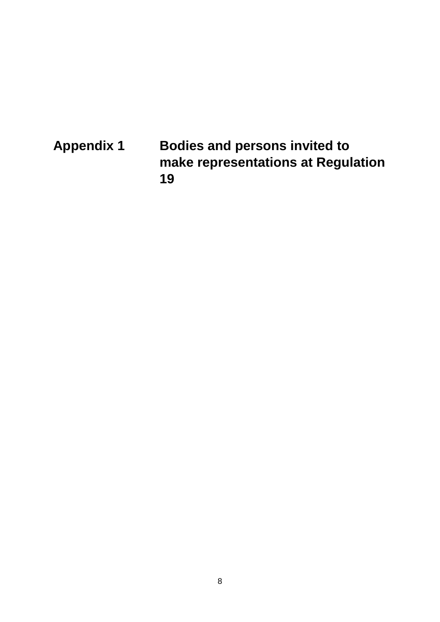### <span id="page-8-0"></span>**Appendix 1 Bodies and persons invited to make representations at Regulation 19**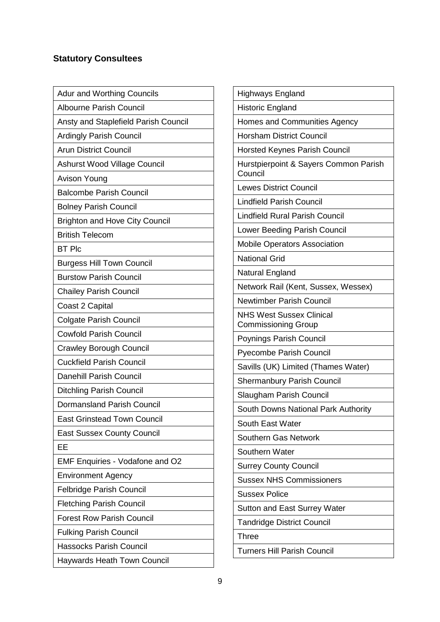### **Statutory Consultees**

| <b>Adur and Worthing Councils</b>      |
|----------------------------------------|
| <b>Albourne Parish Council</b>         |
| Ansty and Staplefield Parish Council   |
| <b>Ardingly Parish Council</b>         |
| <b>Arun District Council</b>           |
| <b>Ashurst Wood Village Council</b>    |
| <b>Avison Young</b>                    |
| <b>Balcombe Parish Council</b>         |
| <b>Bolney Parish Council</b>           |
| <b>Brighton and Hove City Council</b>  |
| <b>British Telecom</b>                 |
| <b>BT PIC</b>                          |
| <b>Burgess Hill Town Council</b>       |
| <b>Burstow Parish Council</b>          |
| <b>Chailey Parish Council</b>          |
| Coast 2 Capital                        |
| <b>Colgate Parish Council</b>          |
| <b>Cowfold Parish Council</b>          |
| <b>Crawley Borough Council</b>         |
| <b>Cuckfield Parish Council</b>        |
| <b>Danehill Parish Council</b>         |
| <b>Ditchling Parish Council</b>        |
| Dormansland Parish Council             |
| <b>East Grinstead Town Council</b>     |
| <b>East Sussex County Council</b>      |
| EE                                     |
| <b>EMF Enquiries - Vodafone and O2</b> |
| <b>Environment Agency</b>              |
| <b>Felbridge Parish Council</b>        |
| <b>Fletching Parish Council</b>        |
| <b>Forest Row Parish Council</b>       |
| <b>Fulking Parish Council</b>          |
| <b>Hassocks Parish Council</b>         |
| <b>Haywards Heath Town Council</b>     |

| <b>Highways England</b>                                       |
|---------------------------------------------------------------|
| <b>Historic England</b>                                       |
| Homes and Communities Agency                                  |
| <b>Horsham District Council</b>                               |
| <b>Horsted Keynes Parish Council</b>                          |
| Hurstpierpoint & Sayers Common Parish<br>Council              |
| <b>Lewes District Council</b>                                 |
| <b>Lindfield Parish Council</b>                               |
| <b>Lindfield Rural Parish Council</b>                         |
| Lower Beeding Parish Council                                  |
| <b>Mobile Operators Association</b>                           |
| <b>National Grid</b>                                          |
| Natural England                                               |
| Network Rail (Kent, Sussex, Wessex)                           |
| <b>Newtimber Parish Council</b>                               |
| <b>NHS West Sussex Clinical</b><br><b>Commissioning Group</b> |
| Poynings Parish Council                                       |
| <b>Pyecombe Parish Council</b>                                |
| Savills (UK) Limited (Thames Water)                           |
| Shermanbury Parish Council                                    |
| Slaugham Parish Council                                       |
| South Downs National Park Authority                           |
| South East Water                                              |
| Southern Gas Network                                          |
| Southern Water                                                |
| <b>Surrey County Council</b>                                  |
| <b>Sussex NHS Commissioners</b>                               |
| <b>Sussex Police</b>                                          |
| <b>Sutton and East Surrey Water</b>                           |
| <b>Tandridge District Council</b>                             |
| <b>Three</b>                                                  |
| <b>Turners Hill Parish Council</b>                            |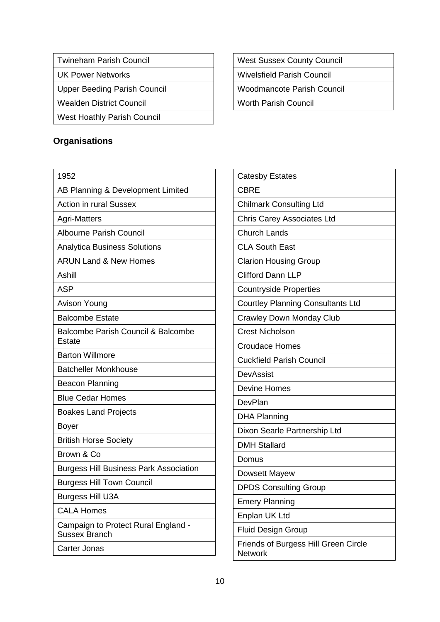Twineham Parish Council

UK Power Networks

Upper Beeding Parish Council

Wealden District Council

West Hoathly Parish Council

### **Organisations**

| 1952                                                           |
|----------------------------------------------------------------|
| AB Planning & Development Limited                              |
| <b>Action in rural Sussex</b>                                  |
| <b>Agri-Matters</b>                                            |
| <b>Albourne Parish Council</b>                                 |
| <b>Analytica Business Solutions</b>                            |
| <b>ARUN Land &amp; New Homes</b>                               |
| Ashill                                                         |
| <b>ASP</b>                                                     |
| Avison Young                                                   |
| <b>Balcombe Estate</b>                                         |
| <b>Balcombe Parish Council &amp; Balcombe</b><br><b>Estate</b> |
| <b>Barton Willmore</b>                                         |
| <b>Batcheller Monkhouse</b>                                    |
| <b>Beacon Planning</b>                                         |
| <b>Blue Cedar Homes</b>                                        |
| <b>Boakes Land Projects</b>                                    |
| <b>Boyer</b>                                                   |
| <b>British Horse Society</b>                                   |
| Brown & Co                                                     |
| <b>Burgess Hill Business Park Association</b>                  |
| <b>Burgess Hill Town Council</b>                               |
| Burgess Hill U3A                                               |
| <b>CALA Homes</b>                                              |
| Campaign to Protect Rural England -<br><b>Sussex Branch</b>    |
| Carter Jonas                                                   |

West Sussex County Council

Wivelsfield Parish Council

Woodmancote Parish Council

Worth Parish Council

| <b>Catesby Estates</b>                                 |
|--------------------------------------------------------|
| <b>CBRE</b>                                            |
| <b>Chilmark Consulting Ltd</b>                         |
| <b>Chris Carey Associates Ltd</b>                      |
| <b>Church Lands</b>                                    |
| <b>CLA South East</b>                                  |
| <b>Clarion Housing Group</b>                           |
| <b>Clifford Dann LLP</b>                               |
| <b>Countryside Properties</b>                          |
| <b>Courtley Planning Consultants Ltd</b>               |
| <b>Crawley Down Monday Club</b>                        |
| <b>Crest Nicholson</b>                                 |
| <b>Croudace Homes</b>                                  |
| <b>Cuckfield Parish Council</b>                        |
| DevAssist                                              |
| <b>Devine Homes</b>                                    |
| DevPlan                                                |
| <b>DHA Planning</b>                                    |
| Dixon Searle Partnership Ltd                           |
| <b>DMH Stallard</b>                                    |
| Domus                                                  |
| Dowsett Mayew                                          |
| <b>DPDS Consulting Group</b>                           |
| <b>Emery Planning</b>                                  |
| Enplan UK Ltd                                          |
| <b>Fluid Design Group</b>                              |
| Friends of Burgess Hill Green Circle<br><b>Network</b> |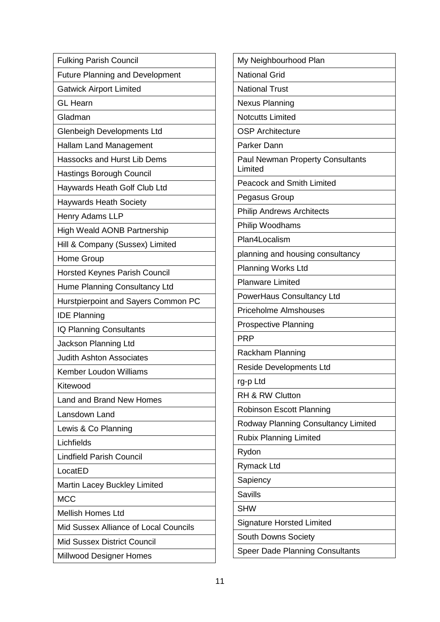| <b>Fulking Parish Council</b>          | My Neigh         |
|----------------------------------------|------------------|
| <b>Future Planning and Development</b> | National         |
| <b>Gatwick Airport Limited</b>         | National         |
| <b>GL Hearn</b>                        | Nexus Pl         |
| Gladman                                | <b>Notcutts</b>  |
| <b>Glenbeigh Developments Ltd</b>      | <b>OSP Arcl</b>  |
| <b>Hallam Land Management</b>          | Parker Da        |
| <b>Hassocks and Hurst Lib Dems</b>     | <b>Paul New</b>  |
| <b>Hastings Borough Council</b>        | Limited          |
| Haywards Heath Golf Club Ltd           | Peacock          |
| <b>Haywards Heath Society</b>          | Pegasus          |
| Henry Adams LLP                        | Philip An        |
| <b>High Weald AONB Partnership</b>     | Philip Wo        |
| Hill & Company (Sussex) Limited        | Plan4Loc         |
| Home Group                             | planning         |
| <b>Horsted Keynes Parish Council</b>   | Planning         |
| Hume Planning Consultancy Ltd          | Planware         |
| Hurstpierpoint and Sayers Common PC    | PowerHa          |
| <b>IDE Planning</b>                    | Priceholn        |
| IQ Planning Consultants                | Prospecti        |
| Jackson Planning Ltd                   | <b>PRP</b>       |
| <b>Judith Ashton Associates</b>        | Rackham          |
| <b>Kember Loudon Williams</b>          | Reside D         |
| Kitewood                               | rg-p Ltd         |
| Land and Brand New Homes               | RH & RW          |
| Lansdown Land                          | Robinsor         |
| Lewis & Co Planning                    | Rodway I         |
| Lichfields                             | <b>Rubix Pla</b> |
| <b>Lindfield Parish Council</b>        | Rydon            |
| LocatED                                | Rymack I         |
| Martin Lacey Buckley Limited           | Sapiency         |
| <b>MCC</b>                             | <b>Savills</b>   |
| <b>Mellish Homes Ltd</b>               | <b>SHW</b>       |
| Mid Sussex Alliance of Local Councils  | Signature        |
| <b>Mid Sussex District Council</b>     | South Do         |
| <b>Millwood Designer Homes</b>         | Speer Da         |
|                                        |                  |

| My Neighbourhood Plan                              |
|----------------------------------------------------|
| <b>National Grid</b>                               |
| <b>National Trust</b>                              |
| <b>Nexus Planning</b>                              |
| <b>Notcutts Limited</b>                            |
| <b>OSP Architecture</b>                            |
| Parker Dann                                        |
| <b>Paul Newman Property Consultants</b><br>Limited |
| <b>Peacock and Smith Limited</b>                   |
| Pegasus Group                                      |
| <b>Philip Andrews Architects</b>                   |
| Philip Woodhams                                    |
| Plan4Localism                                      |
| planning and housing consultancy                   |
| <b>Planning Works Ltd</b>                          |
| <b>Planware Limited</b>                            |
| PowerHaus Consultancy Ltd                          |
| <b>Priceholme Almshouses</b>                       |
| Prospective Planning                               |
| <b>PRP</b>                                         |
| Rackham Planning                                   |
| <b>Reside Developments Ltd</b>                     |
| rg-p Ltd                                           |
| RH & RW Clutton                                    |
| <b>Robinson Escott Planning</b>                    |
| Rodway Planning Consultancy Limited                |
| <b>Rubix Planning Limited</b>                      |
| Rydon                                              |
| <b>Rymack Ltd</b>                                  |
| Sapiency                                           |
| <b>Savills</b>                                     |
| <b>SHW</b>                                         |
| <b>Signature Horsted Limited</b>                   |
| <b>South Downs Society</b>                         |
| <b>Speer Dade Planning Consultants</b>             |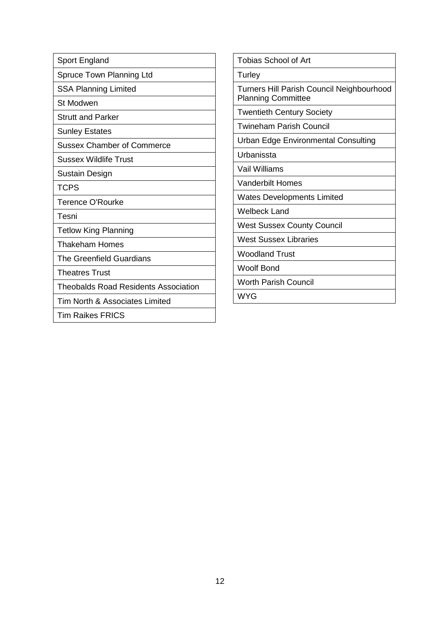| Sport England                               | <b>Tobias School of Art</b>               |  |  |
|---------------------------------------------|-------------------------------------------|--|--|
| Spruce Town Planning Ltd                    | Turley                                    |  |  |
| <b>SSA Planning Limited</b>                 | Turners Hill Parish Council Neighbourhood |  |  |
| <b>St Modwen</b>                            | <b>Planning Committee</b>                 |  |  |
| <b>Strutt and Parker</b>                    | <b>Twentieth Century Society</b>          |  |  |
| <b>Sunley Estates</b>                       | <b>Twineham Parish Council</b>            |  |  |
| <b>Sussex Chamber of Commerce</b>           | Urban Edge Environmental Consulting       |  |  |
| <b>Sussex Wildlife Trust</b>                | Urbanissta                                |  |  |
| Sustain Design                              | Vail Williams                             |  |  |
| <b>TCPS</b>                                 | <b>Vanderbilt Homes</b>                   |  |  |
| <b>Terence O'Rourke</b>                     | <b>Wates Developments Limited</b>         |  |  |
| Tesni                                       | <b>Welbeck Land</b>                       |  |  |
| <b>Tetlow King Planning</b>                 | <b>West Sussex County Council</b>         |  |  |
| <b>Thakeham Homes</b>                       | <b>West Sussex Libraries</b>              |  |  |
| The Greenfield Guardians                    | <b>Woodland Trust</b>                     |  |  |
| <b>Theatres Trust</b>                       | <b>Woolf Bond</b>                         |  |  |
| <b>Theobalds Road Residents Association</b> | <b>Worth Parish Council</b>               |  |  |
|                                             | <b>WYG</b>                                |  |  |
| Tim North & Associates Limited              |                                           |  |  |
| Tim Raikes FRICS                            |                                           |  |  |

12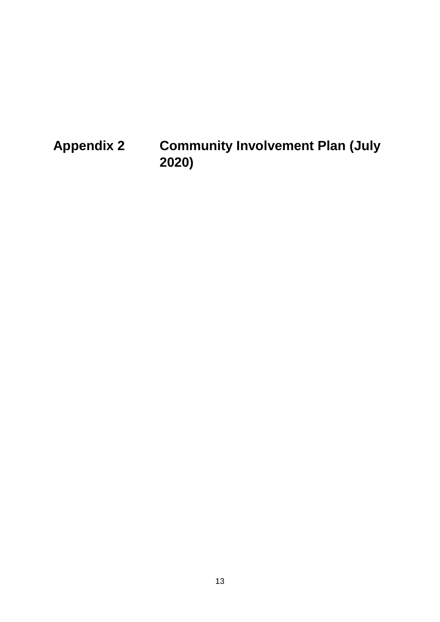<span id="page-13-0"></span>**Appendix 2 Community Involvement Plan (July 2020)**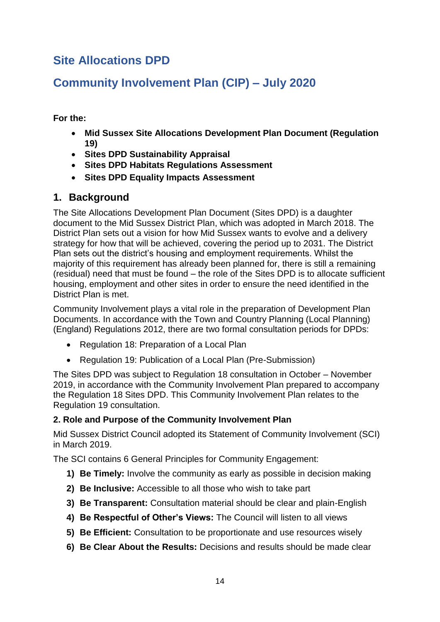### **Site Allocations DPD**

### **Community Involvement Plan (CIP) – July 2020**

**For the:**

- **Mid Sussex Site Allocations Development Plan Document (Regulation 19)**
- **Sites DPD Sustainability Appraisal**
- **Sites DPD Habitats Regulations Assessment**
- **Sites DPD Equality Impacts Assessment**

### **1. Background**

The Site Allocations Development Plan Document (Sites DPD) is a daughter document to the Mid Sussex District Plan, which was adopted in March 2018. The District Plan sets out a vision for how Mid Sussex wants to evolve and a delivery strategy for how that will be achieved, covering the period up to 2031. The District Plan sets out the district's housing and employment requirements. Whilst the majority of this requirement has already been planned for, there is still a remaining (residual) need that must be found – the role of the Sites DPD is to allocate sufficient housing, employment and other sites in order to ensure the need identified in the District Plan is met.

Community Involvement plays a vital role in the preparation of Development Plan Documents. In accordance with the Town and Country Planning (Local Planning) (England) Regulations 2012, there are two formal consultation periods for DPDs:

- Regulation 18: Preparation of a Local Plan
- Regulation 19: Publication of a Local Plan (Pre-Submission)

The Sites DPD was subject to Regulation 18 consultation in October – November 2019, in accordance with the Community Involvement Plan prepared to accompany the Regulation 18 Sites DPD. This Community Involvement Plan relates to the Regulation 19 consultation.

### **2. Role and Purpose of the Community Involvement Plan**

Mid Sussex District Council adopted its Statement of Community Involvement (SCI) in March 2019.

The SCI contains 6 General Principles for Community Engagement:

- **1) Be Timely:** Involve the community as early as possible in decision making
- **2) Be Inclusive:** Accessible to all those who wish to take part
- **3) Be Transparent:** Consultation material should be clear and plain-English
- **4) Be Respectful of Other's Views:** The Council will listen to all views
- **5) Be Efficient:** Consultation to be proportionate and use resources wisely
- **6) Be Clear About the Results:** Decisions and results should be made clear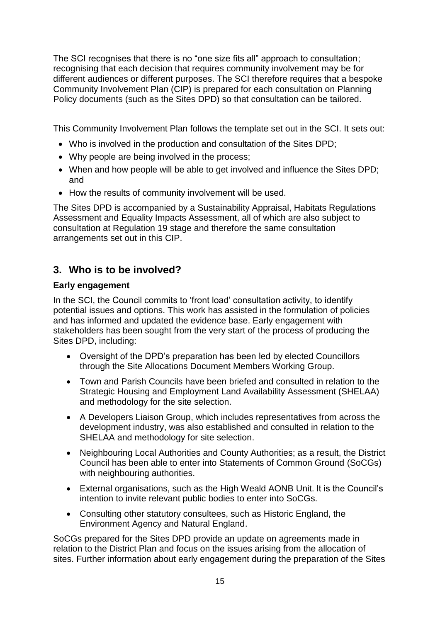The SCI recognises that there is no "one size fits all" approach to consultation; recognising that each decision that requires community involvement may be for different audiences or different purposes. The SCI therefore requires that a bespoke Community Involvement Plan (CIP) is prepared for each consultation on Planning Policy documents (such as the Sites DPD) so that consultation can be tailored.

This Community Involvement Plan follows the template set out in the SCI. It sets out:

- Who is involved in the production and consultation of the Sites DPD;
- Why people are being involved in the process;
- When and how people will be able to get involved and influence the Sites DPD; and
- How the results of community involvement will be used.

The Sites DPD is accompanied by a Sustainability Appraisal, Habitats Regulations Assessment and Equality Impacts Assessment, all of which are also subject to consultation at Regulation 19 stage and therefore the same consultation arrangements set out in this CIP.

### **3. Who is to be involved?**

### **Early engagement**

In the SCI, the Council commits to 'front load' consultation activity, to identify potential issues and options. This work has assisted in the formulation of policies and has informed and updated the evidence base. Early engagement with stakeholders has been sought from the very start of the process of producing the Sites DPD, including:

- Oversight of the DPD's preparation has been led by elected Councillors through the Site Allocations Document Members Working Group.
- Town and Parish Councils have been briefed and consulted in relation to the Strategic Housing and Employment Land Availability Assessment (SHELAA) and methodology for the site selection.
- A Developers Liaison Group, which includes representatives from across the development industry, was also established and consulted in relation to the SHELAA and methodology for site selection.
- Neighbouring Local Authorities and County Authorities; as a result, the District Council has been able to enter into Statements of Common Ground (SoCGs) with neighbouring authorities.
- External organisations, such as the High Weald AONB Unit. It is the Council's intention to invite relevant public bodies to enter into SoCGs.
- Consulting other statutory consultees, such as Historic England, the Environment Agency and Natural England.

SoCGs prepared for the Sites DPD provide an update on agreements made in relation to the District Plan and focus on the issues arising from the allocation of sites. Further information about early engagement during the preparation of the Sites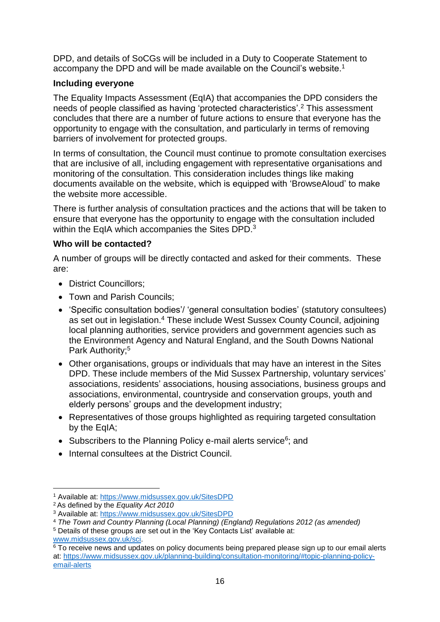DPD, and details of SoCGs will be included in a Duty to Cooperate Statement to accompany the DPD and will be made available on the Council's website.<sup>1</sup>

### **Including everyone**

The Equality Impacts Assessment (EqIA) that accompanies the DPD considers the needs of people classified as having 'protected characteristics'.<sup>2</sup> This assessment concludes that there are a number of future actions to ensure that everyone has the opportunity to engage with the consultation, and particularly in terms of removing barriers of involvement for protected groups.

In terms of consultation, the Council must continue to promote consultation exercises that are inclusive of all, including engagement with representative organisations and monitoring of the consultation. This consideration includes things like making documents available on the website, which is equipped with 'BrowseAloud' to make the website more accessible.

There is further analysis of consultation practices and the actions that will be taken to ensure that everyone has the opportunity to engage with the consultation included within the EqIA which accompanies the Sites DPD.<sup>3</sup>

### **Who will be contacted?**

A number of groups will be directly contacted and asked for their comments. These are:

- District Councillors:
- Town and Parish Councils:
- 'Specific consultation bodies'/ 'general consultation bodies' (statutory consultees) as set out in legislation.<sup>4</sup> These include West Sussex County Council, adjoining local planning authorities, service providers and government agencies such as the Environment Agency and Natural England, and the South Downs National Park Authority;<sup>5</sup>
- Other organisations, groups or individuals that may have an interest in the Sites DPD. These include members of the Mid Sussex Partnership, voluntary services' associations, residents' associations, housing associations, business groups and associations, environmental, countryside and conservation groups, youth and elderly persons' groups and the development industry;
- Representatives of those groups highlighted as requiring targeted consultation by the EqIA;
- Subscribers to the Planning Policy e-mail alerts service<sup>6</sup>; and
- Internal consultees at the District Council.

 $\overline{a}$ 

<sup>1</sup> Available at:<https://www.midsussex.gov.uk/SitesDPD>

<sup>2</sup> As defined by the *Equality Act 2010*

<sup>3</sup> Available at:<https://www.midsussex.gov.uk/SitesDPD>

<sup>4</sup> *The Town and Country Planning (Local Planning) (England) Regulations 2012 (as amended)*

<sup>5</sup> Details of these groups are set out in the 'Key Contacts List' available at: [www.midsussex.gov.uk/sci.](http://www.midsussex.gov.uk/sci)

<sup>&</sup>lt;sup>6</sup> To receive news and updates on policy documents being prepared please sign up to our email alerts at: [https://www.midsussex.gov.uk/planning-building/consultation-monitoring/#topic-planning-policy](https://www.midsussex.gov.uk/planning-building/consultation-monitoring/#topic-planning-policy-email-alerts)[email-alerts](https://www.midsussex.gov.uk/planning-building/consultation-monitoring/#topic-planning-policy-email-alerts)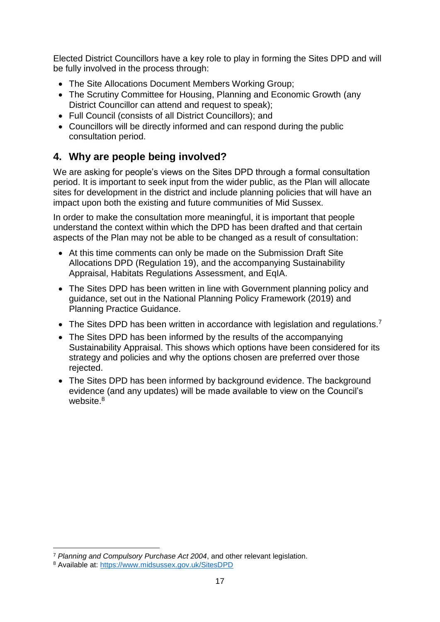Elected District Councillors have a key role to play in forming the Sites DPD and will be fully involved in the process through:

- The Site Allocations Document Members Working Group;
- The Scrutiny Committee for Housing, Planning and Economic Growth (any District Councillor can attend and request to speak);
- Full Council (consists of all District Councillors); and
- Councillors will be directly informed and can respond during the public consultation period.

### **4. Why are people being involved?**

We are asking for people's views on the Sites DPD through a formal consultation period. It is important to seek input from the wider public, as the Plan will allocate sites for development in the district and include planning policies that will have an impact upon both the existing and future communities of Mid Sussex.

In order to make the consultation more meaningful, it is important that people understand the context within which the DPD has been drafted and that certain aspects of the Plan may not be able to be changed as a result of consultation:

- At this time comments can only be made on the Submission Draft Site Allocations DPD (Regulation 19), and the accompanying Sustainability Appraisal, Habitats Regulations Assessment, and EqIA.
- The Sites DPD has been written in line with Government planning policy and guidance, set out in the National Planning Policy Framework (2019) and Planning Practice Guidance.
- The Sites DPD has been written in accordance with legislation and regulations.<sup>7</sup>
- The Sites DPD has been informed by the results of the accompanying Sustainability Appraisal. This shows which options have been considered for its strategy and policies and why the options chosen are preferred over those rejected.
- The Sites DPD has been informed by background evidence. The background evidence (and any updates) will be made available to view on the Council's website.<sup>8</sup>

1

<sup>7</sup> *Planning and Compulsory Purchase Act 2004*, and other relevant legislation.

<sup>8</sup> Available at:<https://www.midsussex.gov.uk/SitesDPD>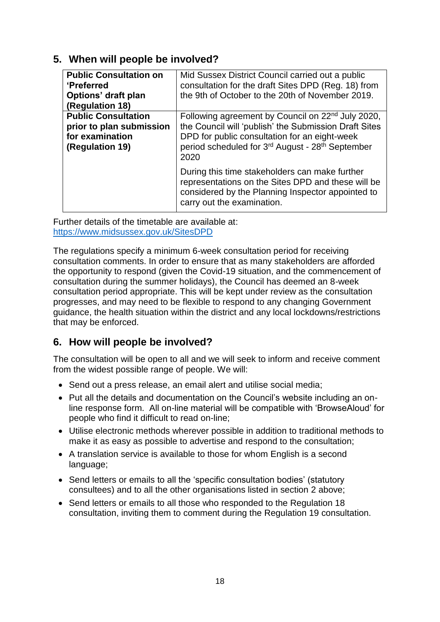### **5. When will people be involved?**

| <b>Public Consultation on</b><br><b>'Preferred</b><br>Options' draft plan<br>(Regulation 18) | Mid Sussex District Council carried out a public<br>consultation for the draft Sites DPD (Reg. 18) from<br>the 9th of October to the 20th of November 2019.                                                                                                 |  |  |
|----------------------------------------------------------------------------------------------|-------------------------------------------------------------------------------------------------------------------------------------------------------------------------------------------------------------------------------------------------------------|--|--|
| <b>Public Consultation</b><br>prior to plan submission<br>for examination<br>(Regulation 19) | Following agreement by Council on 22 <sup>nd</sup> July 2020,<br>the Council will 'publish' the Submission Draft Sites<br>DPD for public consultation for an eight-week<br>period scheduled for 3 <sup>rd</sup> August - 28 <sup>th</sup> September<br>2020 |  |  |
|                                                                                              | During this time stakeholders can make further<br>representations on the Sites DPD and these will be<br>considered by the Planning Inspector appointed to<br>carry out the examination.                                                                     |  |  |

Further details of the timetable are available at: <https://www.midsussex.gov.uk/SitesDPD>

The regulations specify a minimum 6-week consultation period for receiving consultation comments. In order to ensure that as many stakeholders are afforded the opportunity to respond (given the Covid-19 situation, and the commencement of consultation during the summer holidays), the Council has deemed an 8-week consultation period appropriate. This will be kept under review as the consultation progresses, and may need to be flexible to respond to any changing Government guidance, the health situation within the district and any local lockdowns/restrictions that may be enforced.

### **6. How will people be involved?**

The consultation will be open to all and we will seek to inform and receive comment from the widest possible range of people. We will:

- Send out a press release, an email alert and utilise social media;
- Put all the details and documentation on the Council's website including an online response form. All on-line material will be compatible with 'BrowseAloud' for people who find it difficult to read on-line;
- Utilise electronic methods wherever possible in addition to traditional methods to make it as easy as possible to advertise and respond to the consultation;
- A translation service is available to those for whom English is a second language;
- Send letters or emails to all the 'specific consultation bodies' (statutory consultees) and to all the other organisations listed in section 2 above;
- Send letters or emails to all those who responded to the Regulation 18 consultation, inviting them to comment during the Regulation 19 consultation.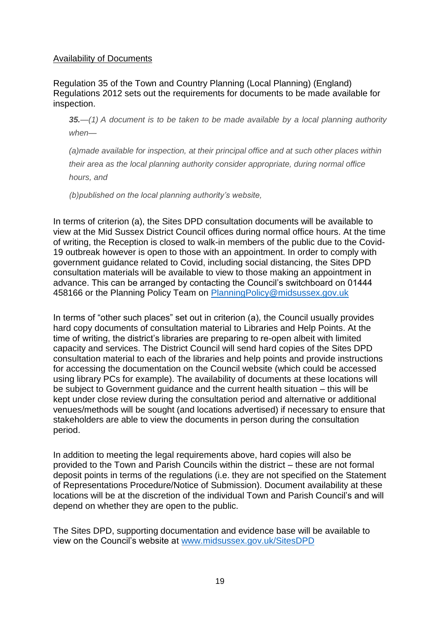### Availability of Documents

Regulation 35 of the Town and Country Planning (Local Planning) (England) Regulations 2012 sets out the requirements for documents to be made available for inspection.

*35.—(1) A document is to be taken to be made available by a local planning authority when—*

*(a)made available for inspection, at their principal office and at such other places within their area as the local planning authority consider appropriate, during normal office hours, and*

*(b)published on the local planning authority's website,*

In terms of criterion (a), the Sites DPD consultation documents will be available to view at the Mid Sussex District Council offices during normal office hours. At the time of writing, the Reception is closed to walk-in members of the public due to the Covid-19 outbreak however is open to those with an appointment. In order to comply with government guidance related to Covid, including social distancing, the Sites DPD consultation materials will be available to view to those making an appointment in advance. This can be arranged by contacting the Council's switchboard on 01444 458166 or the Planning Policy Team on [PlanningPolicy@midsussex.gov.uk](mailto:PlanningPolicy@midsussex.gov.uk)

In terms of "other such places" set out in criterion (a), the Council usually provides hard copy documents of consultation material to Libraries and Help Points. At the time of writing, the district's libraries are preparing to re-open albeit with limited capacity and services. The District Council will send hard copies of the Sites DPD consultation material to each of the libraries and help points and provide instructions for accessing the documentation on the Council website (which could be accessed using library PCs for example). The availability of documents at these locations will be subject to Government guidance and the current health situation – this will be kept under close review during the consultation period and alternative or additional venues/methods will be sought (and locations advertised) if necessary to ensure that stakeholders are able to view the documents in person during the consultation period.

In addition to meeting the legal requirements above, hard copies will also be provided to the Town and Parish Councils within the district – these are not formal deposit points in terms of the regulations (i.e. they are not specified on the Statement of Representations Procedure/Notice of Submission). Document availability at these locations will be at the discretion of the individual Town and Parish Council's and will depend on whether they are open to the public.

The Sites DPD, supporting documentation and evidence base will be available to view on the Council's website at [www.midsussex.gov.uk/SitesDPD](http://www.midsussex.gov.uk/SitesDPD)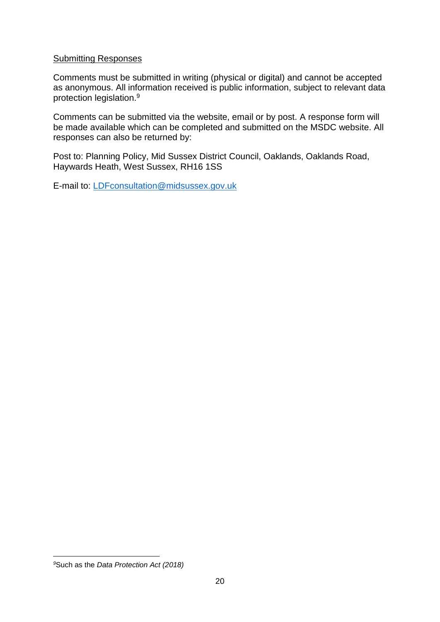### Submitting Responses

Comments must be submitted in writing (physical or digital) and cannot be accepted as anonymous. All information received is public information, subject to relevant data protection legislation.<sup>9</sup>

Comments can be submitted via the website, email or by post. A response form will be made available which can be completed and submitted on the MSDC website. All responses can also be returned by:

Post to: Planning Policy, Mid Sussex District Council, Oaklands, Oaklands Road, Haywards Heath, West Sussex, RH16 1SS

E-mail to: [LDFconsultation@midsussex.gov.uk](mailto:LDFconsultation@midsussex.gov.uk)

**<sup>.</sup>** *<sup>9</sup>*Such as the *Data Protection Act (2018)*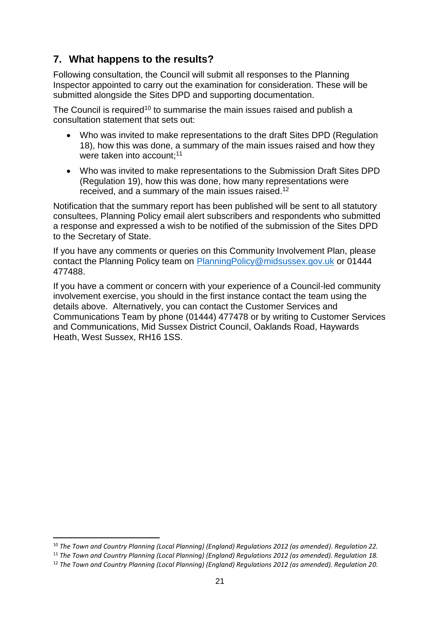### **7. What happens to the results?**

Following consultation, the Council will submit all responses to the Planning Inspector appointed to carry out the examination for consideration. These will be submitted alongside the Sites DPD and supporting documentation.

The Council is required<sup>10</sup> to summarise the main issues raised and publish a consultation statement that sets out:

- Who was invited to make representations to the draft Sites DPD (Regulation 18), how this was done, a summary of the main issues raised and how they were taken into account;<sup>11</sup>
- Who was invited to make representations to the Submission Draft Sites DPD (Regulation 19), how this was done, how many representations were received, and a summary of the main issues raised.<sup>12</sup>

Notification that the summary report has been published will be sent to all statutory consultees, Planning Policy email alert subscribers and respondents who submitted a response and expressed a wish to be notified of the submission of the Sites DPD to the Secretary of State.

If you have any comments or queries on this Community Involvement Plan, please contact the Planning Policy team on [PlanningPolicy@midsussex.gov.uk](mailto:PlanningPolicy@midsussex.gov.uk) or 01444 477488.

If you have a comment or concern with your experience of a Council-led community involvement exercise, you should in the first instance contact the team using the details above. Alternatively, you can contact the Customer Services and Communications Team by phone (01444) 477478 or by writing to Customer Services and Communications, Mid Sussex District Council, Oaklands Road, Haywards Heath, West Sussex, RH16 1SS.

**.** 

<sup>10</sup> *The Town and Country Planning (Local Planning) (England) Regulations 2012 (as amended). Regulation 22.*

<sup>11</sup> *The Town and Country Planning (Local Planning) (England) Regulations 2012 (as amended). Regulation 18.*

<sup>12</sup> *The Town and Country Planning (Local Planning) (England) Regulations 2012 (as amended). Regulation 20.*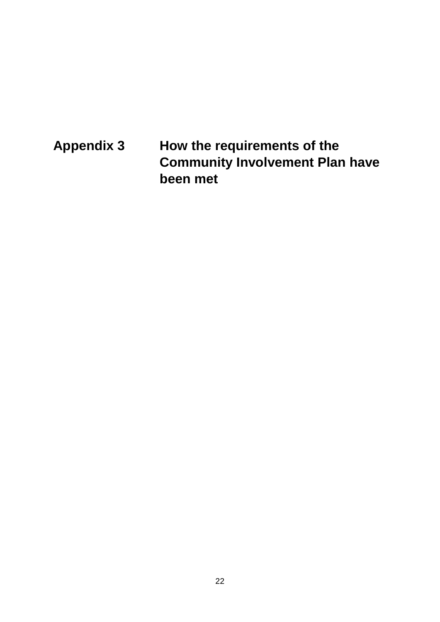## <span id="page-22-0"></span>**Appendix 3 How the requirements of the Community Involvement Plan have been met**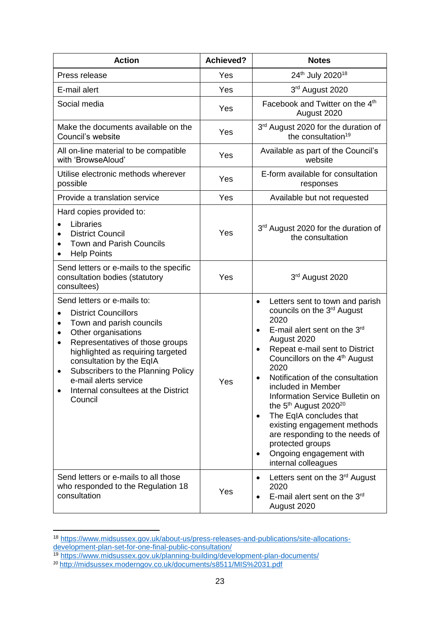| <b>Action</b>                                                                                                                                                                                                                                                                                                                                                                       | <b>Achieved?</b> | <b>Notes</b>                                                                                                                                                                                                                                                                                                                                                                                                                                                                                                                                                                                              |  |
|-------------------------------------------------------------------------------------------------------------------------------------------------------------------------------------------------------------------------------------------------------------------------------------------------------------------------------------------------------------------------------------|------------------|-----------------------------------------------------------------------------------------------------------------------------------------------------------------------------------------------------------------------------------------------------------------------------------------------------------------------------------------------------------------------------------------------------------------------------------------------------------------------------------------------------------------------------------------------------------------------------------------------------------|--|
| Press release                                                                                                                                                                                                                                                                                                                                                                       | Yes              | 24th July 2020 <sup>18</sup>                                                                                                                                                                                                                                                                                                                                                                                                                                                                                                                                                                              |  |
| E-mail alert                                                                                                                                                                                                                                                                                                                                                                        | Yes              | 3rd August 2020                                                                                                                                                                                                                                                                                                                                                                                                                                                                                                                                                                                           |  |
| Social media                                                                                                                                                                                                                                                                                                                                                                        | Yes              | Facebook and Twitter on the 4 <sup>th</sup><br>August 2020                                                                                                                                                                                                                                                                                                                                                                                                                                                                                                                                                |  |
| Make the documents available on the<br>Council's website                                                                                                                                                                                                                                                                                                                            | Yes              | 3rd August 2020 for the duration of<br>the consultation <sup>19</sup>                                                                                                                                                                                                                                                                                                                                                                                                                                                                                                                                     |  |
| All on-line material to be compatible<br>with 'BrowseAloud'                                                                                                                                                                                                                                                                                                                         | Yes              | Available as part of the Council's<br>website                                                                                                                                                                                                                                                                                                                                                                                                                                                                                                                                                             |  |
| Utilise electronic methods wherever<br>possible                                                                                                                                                                                                                                                                                                                                     | Yes              | E-form available for consultation<br>responses                                                                                                                                                                                                                                                                                                                                                                                                                                                                                                                                                            |  |
| Provide a translation service                                                                                                                                                                                                                                                                                                                                                       | Yes              | Available but not requested                                                                                                                                                                                                                                                                                                                                                                                                                                                                                                                                                                               |  |
| Hard copies provided to:<br>Libraries<br>$\bullet$<br><b>District Council</b><br><b>Town and Parish Councils</b><br><b>Help Points</b><br>$\bullet$                                                                                                                                                                                                                                 | Yes              | 3rd August 2020 for the duration of<br>the consultation                                                                                                                                                                                                                                                                                                                                                                                                                                                                                                                                                   |  |
| Send letters or e-mails to the specific<br>consultation bodies (statutory<br>consultees)                                                                                                                                                                                                                                                                                            | Yes              | 3rd August 2020                                                                                                                                                                                                                                                                                                                                                                                                                                                                                                                                                                                           |  |
| Send letters or e-mails to:<br><b>District Councillors</b><br>$\bullet$<br>Town and parish councils<br>$\bullet$<br>Other organisations<br>٠<br>Representatives of those groups<br>$\bullet$<br>highlighted as requiring targeted<br>consultation by the EqIA<br>Subscribers to the Planning Policy<br>٠<br>e-mail alerts service<br>Internal consultees at the District<br>Council | Yes              | Letters sent to town and parish<br>$\bullet$<br>councils on the 3rd August<br>2020<br>E-mail alert sent on the 3rd<br>$\bullet$<br>August 2020<br>Repeat e-mail sent to District<br>$\bullet$<br>Councillors on the 4 <sup>th</sup> August<br>2020<br>Notification of the consultation<br>$\bullet$<br>included in Member<br>Information Service Bulletin on<br>the 5 <sup>th</sup> August 2020 <sup>20</sup><br>The EqIA concludes that<br>$\bullet$<br>existing engagement methods<br>are responding to the needs of<br>protected groups<br>Ongoing engagement with<br>$\bullet$<br>internal colleagues |  |
| Send letters or e-mails to all those<br>who responded to the Regulation 18<br>consultation                                                                                                                                                                                                                                                                                          | Yes              | Letters sent on the 3 <sup>rd</sup> August<br>2020<br>E-mail alert sent on the 3rd<br>August 2020                                                                                                                                                                                                                                                                                                                                                                                                                                                                                                         |  |

<sup>18</sup> [https://www.midsussex.gov.uk/about-us/press-releases-and-publications/site-allocations](https://www.midsussex.gov.uk/about-us/press-releases-and-publications/site-allocations-development-plan-set-for-one-final-public-consultation/)[development-plan-set-for-one-final-public-consultation/](https://www.midsussex.gov.uk/about-us/press-releases-and-publications/site-allocations-development-plan-set-for-one-final-public-consultation/)

1

<sup>19</sup> <https://www.midsussex.gov.uk/planning-building/development-plan-documents/>

<sup>20</sup> <http://midsussex.moderngov.co.uk/documents/s8511/MIS%2031.pdf>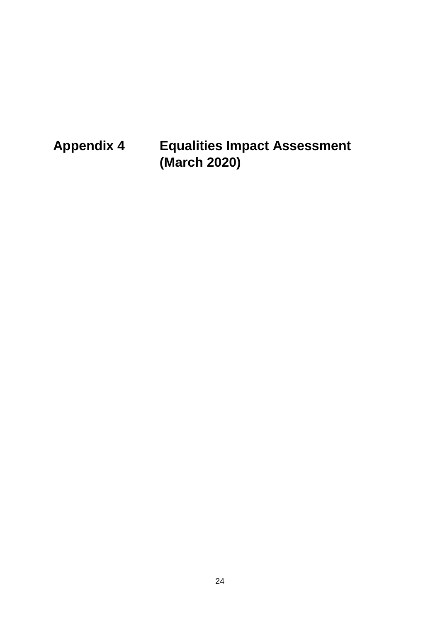<span id="page-24-0"></span>**Appendix 4 Equalities Impact Assessment (March 2020)**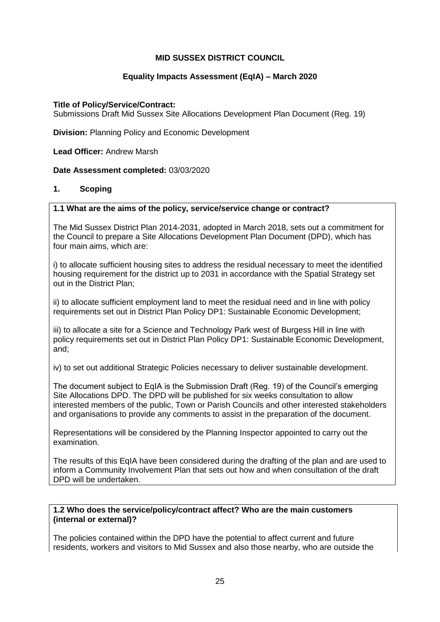### **MID SUSSEX DISTRICT COUNCIL**

### **Equality Impacts Assessment (EqIA) – March 2020**

### **Title of Policy/Service/Contract:**

Submissions Draft Mid Sussex Site Allocations Development Plan Document (Reg. 19)

**Division:** Planning Policy and Economic Development

#### **Lead Officer:** Andrew Marsh

#### **Date Assessment completed:** 03/03/2020

#### **1. Scoping**

#### **1.1 What are the aims of the policy, service/service change or contract?**

The Mid Sussex District Plan 2014-2031, adopted in March 2018, sets out a commitment for the Council to prepare a Site Allocations Development Plan Document (DPD), which has four main aims, which are:

i) to allocate sufficient housing sites to address the residual necessary to meet the identified housing requirement for the district up to 2031 in accordance with the Spatial Strategy set out in the District Plan;

ii) to allocate sufficient employment land to meet the residual need and in line with policy requirements set out in District Plan Policy DP1: Sustainable Economic Development;

iii) to allocate a site for a Science and Technology Park west of Burgess Hill in line with policy requirements set out in District Plan Policy DP1: Sustainable Economic Development, and;

iv) to set out additional Strategic Policies necessary to deliver sustainable development.

The document subject to EqIA is the Submission Draft (Reg. 19) of the Council's emerging Site Allocations DPD. The DPD will be published for six weeks consultation to allow interested members of the public, Town or Parish Councils and other interested stakeholders and organisations to provide any comments to assist in the preparation of the document.

Representations will be considered by the Planning Inspector appointed to carry out the examination.

The results of this EqIA have been considered during the drafting of the plan and are used to inform a Community Involvement Plan that sets out how and when consultation of the draft DPD will be undertaken.

#### **1.2 Who does the service/policy/contract affect? Who are the main customers (internal or external)?**

The policies contained within the DPD have the potential to affect current and future residents, workers and visitors to Mid Sussex and also those nearby, who are outside the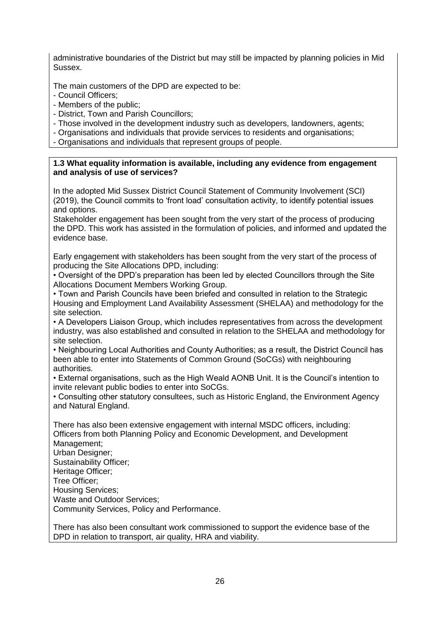administrative boundaries of the District but may still be impacted by planning policies in Mid Sussex.

The main customers of the DPD are expected to be:

- Council Officers;
- Members of the public;
- District, Town and Parish Councillors;
- Those involved in the development industry such as developers, landowners, agents;
- Organisations and individuals that provide services to residents and organisations;
- Organisations and individuals that represent groups of people.

#### **1.3 What equality information is available, including any evidence from engagement and analysis of use of services?**

In the adopted Mid Sussex District Council Statement of Community Involvement (SCI) (2019), the Council commits to 'front load' consultation activity, to identify potential issues and options.

Stakeholder engagement has been sought from the very start of the process of producing the DPD. This work has assisted in the formulation of policies, and informed and updated the evidence base.

Early engagement with stakeholders has been sought from the very start of the process of producing the Site Allocations DPD, including:

• Oversight of the DPD's preparation has been led by elected Councillors through the Site Allocations Document Members Working Group.

• Town and Parish Councils have been briefed and consulted in relation to the Strategic Housing and Employment Land Availability Assessment (SHELAA) and methodology for the site selection.

• A Developers Liaison Group, which includes representatives from across the development industry, was also established and consulted in relation to the SHELAA and methodology for site selection.

• Neighbouring Local Authorities and County Authorities; as a result, the District Council has been able to enter into Statements of Common Ground (SoCGs) with neighbouring authorities.

• External organisations, such as the High Weald AONB Unit. It is the Council's intention to invite relevant public bodies to enter into SoCGs.

• Consulting other statutory consultees, such as Historic England, the Environment Agency and Natural England.

There has also been extensive engagement with internal MSDC officers, including: Officers from both Planning Policy and Economic Development, and Development Management; Urban Designer;

Sustainability Officer; Heritage Officer;

Tree Officer;

Housing Services;

Waste and Outdoor Services;

Community Services, Policy and Performance.

There has also been consultant work commissioned to support the evidence base of the DPD in relation to transport, air quality, HRA and viability.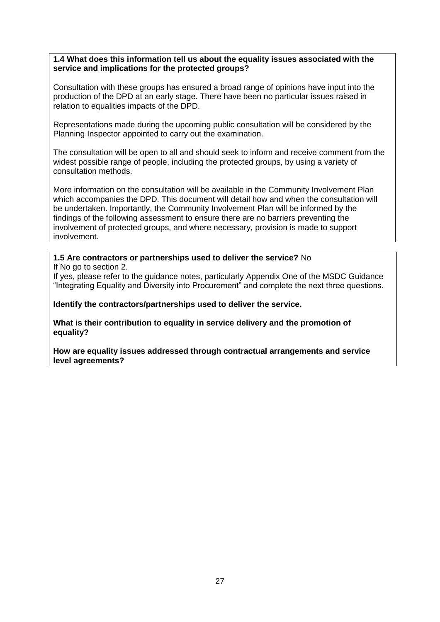### **1.4 What does this information tell us about the equality issues associated with the service and implications for the protected groups?**

Consultation with these groups has ensured a broad range of opinions have input into the production of the DPD at an early stage. There have been no particular issues raised in relation to equalities impacts of the DPD.

Representations made during the upcoming public consultation will be considered by the Planning Inspector appointed to carry out the examination.

The consultation will be open to all and should seek to inform and receive comment from the widest possible range of people, including the protected groups, by using a variety of consultation methods.

More information on the consultation will be available in the Community Involvement Plan which accompanies the DPD. This document will detail how and when the consultation will be undertaken. Importantly, the Community Involvement Plan will be informed by the findings of the following assessment to ensure there are no barriers preventing the involvement of protected groups, and where necessary, provision is made to support involvement.

### **1.5 Are contractors or partnerships used to deliver the service?** No

If No go to section 2.

If yes, please refer to the guidance notes, particularly Appendix One of the MSDC Guidance "Integrating Equality and Diversity into Procurement" and complete the next three questions.

**Identify the contractors/partnerships used to deliver the service.**

**What is their contribution to equality in service delivery and the promotion of equality?**

**How are equality issues addressed through contractual arrangements and service level agreements?**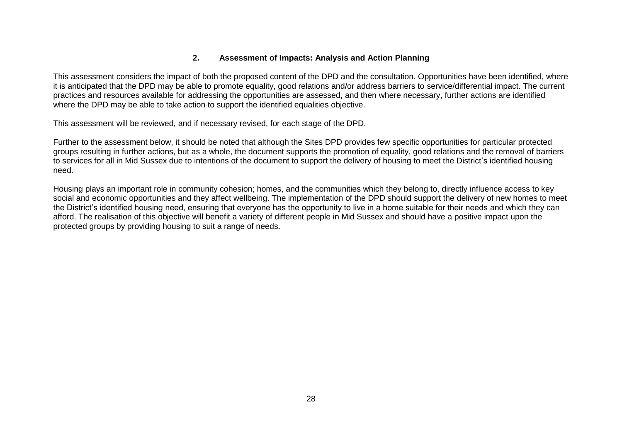### **2. Assessment of Impacts: Analysis and Action Planning**

This assessment considers the impact of both the proposed content of the DPD and the consultation. Opportunities have been identified, where it is anticipated that the DPD may be able to promote equality, good relations and/or address barriers to service/differential impact. The current practices and resources available for addressing the opportunities are assessed, and then where necessary, further actions are identified where the DPD may be able to take action to support the identified equalities objective.

This assessment will be reviewed, and if necessary revised, for each stage of the DPD.

Further to the assessment below, it should be noted that although the Sites DPD provides few specific opportunities for particular protected groups resulting in further actions, but as a whole, the document supports the promotion of equality, good relations and the removal of barriers to services for all in Mid Sussex due to intentions of the document to support the delivery of housing to meet the District's identified housing need.

Housing plays an important role in community cohesion; homes, and the communities which they belong to, directly influence access to key social and economic opportunities and they affect wellbeing. The implementation of the DPD should support the delivery of new homes to meet the District's identified housing need, ensuring that everyone has the opportunity to live in a home suitable for their needs and which they can afford. The realisation of this objective will benefit a variety of different people in Mid Sussex and should have a positive impact upon the protected groups by providing housing to suit a range of needs.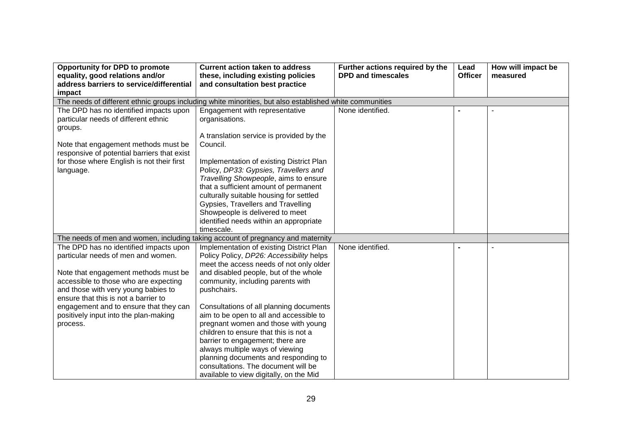| <b>Opportunity for DPD to promote</b><br>equality, good relations and/or<br>address barriers to service/differential                                         | <b>Current action taken to address</b><br>these, including existing policies<br>and consultation best practice                                                      | Further actions required by the<br><b>DPD and timescales</b> | Lead<br><b>Officer</b> | How will impact be<br>measured |
|--------------------------------------------------------------------------------------------------------------------------------------------------------------|---------------------------------------------------------------------------------------------------------------------------------------------------------------------|--------------------------------------------------------------|------------------------|--------------------------------|
| impact                                                                                                                                                       |                                                                                                                                                                     |                                                              |                        |                                |
|                                                                                                                                                              | The needs of different ethnic groups including white minorities, but also established white communities                                                             |                                                              |                        |                                |
| The DPD has no identified impacts upon<br>particular needs of different ethnic<br>groups.                                                                    | Engagement with representative<br>organisations.                                                                                                                    | None identified.                                             |                        |                                |
| Note that engagement methods must be<br>responsive of potential barriers that exist                                                                          | A translation service is provided by the<br>Council.                                                                                                                |                                                              |                        |                                |
| for those where English is not their first<br>language.                                                                                                      | Implementation of existing District Plan<br>Policy, DP33: Gypsies, Travellers and<br>Travelling Showpeople, aims to ensure<br>that a sufficient amount of permanent |                                                              |                        |                                |
|                                                                                                                                                              | culturally suitable housing for settled<br>Gypsies, Travellers and Travelling<br>Showpeople is delivered to meet                                                    |                                                              |                        |                                |
|                                                                                                                                                              | identified needs within an appropriate<br>timescale.                                                                                                                |                                                              |                        |                                |
|                                                                                                                                                              | The needs of men and women, including taking account of pregnancy and maternity                                                                                     |                                                              |                        |                                |
| The DPD has no identified impacts upon<br>particular needs of men and women.                                                                                 | Implementation of existing District Plan<br>Policy Policy, DP26: Accessibility helps<br>meet the access needs of not only older                                     | None identified.                                             |                        |                                |
| Note that engagement methods must be<br>accessible to those who are expecting<br>and those with very young babies to<br>ensure that this is not a barrier to | and disabled people, but of the whole<br>community, including parents with<br>pushchairs.                                                                           |                                                              |                        |                                |
| engagement and to ensure that they can<br>positively input into the plan-making<br>process.                                                                  | Consultations of all planning documents<br>aim to be open to all and accessible to<br>pregnant women and those with young                                           |                                                              |                        |                                |
|                                                                                                                                                              | children to ensure that this is not a<br>barrier to engagement; there are<br>always multiple ways of viewing<br>planning documents and responding to                |                                                              |                        |                                |
|                                                                                                                                                              | consultations. The document will be<br>available to view digitally, on the Mid                                                                                      |                                                              |                        |                                |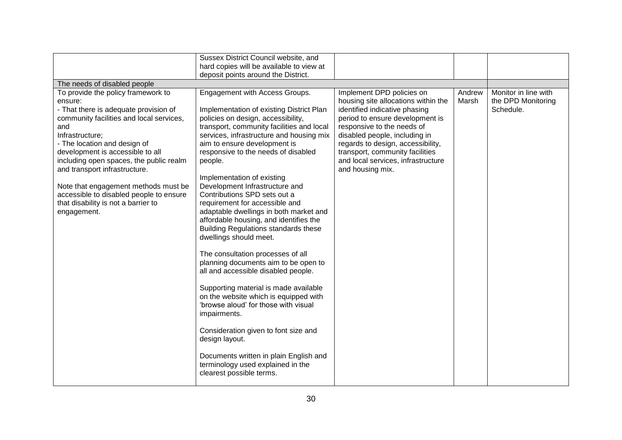|                                                                                                                                                                                                                                                                                                                                                                                                                                                       | Sussex District Council website, and                                                                                                                                                                                                                                                                                                                                                                                                                                                                                                                                                                                                                                                                                                                                                                                                                                                                                                                                                                                          |                                                                                                                                                                                                                                                                                                                                       |                 |                                                         |
|-------------------------------------------------------------------------------------------------------------------------------------------------------------------------------------------------------------------------------------------------------------------------------------------------------------------------------------------------------------------------------------------------------------------------------------------------------|-------------------------------------------------------------------------------------------------------------------------------------------------------------------------------------------------------------------------------------------------------------------------------------------------------------------------------------------------------------------------------------------------------------------------------------------------------------------------------------------------------------------------------------------------------------------------------------------------------------------------------------------------------------------------------------------------------------------------------------------------------------------------------------------------------------------------------------------------------------------------------------------------------------------------------------------------------------------------------------------------------------------------------|---------------------------------------------------------------------------------------------------------------------------------------------------------------------------------------------------------------------------------------------------------------------------------------------------------------------------------------|-----------------|---------------------------------------------------------|
|                                                                                                                                                                                                                                                                                                                                                                                                                                                       | hard copies will be available to view at                                                                                                                                                                                                                                                                                                                                                                                                                                                                                                                                                                                                                                                                                                                                                                                                                                                                                                                                                                                      |                                                                                                                                                                                                                                                                                                                                       |                 |                                                         |
|                                                                                                                                                                                                                                                                                                                                                                                                                                                       | deposit points around the District.                                                                                                                                                                                                                                                                                                                                                                                                                                                                                                                                                                                                                                                                                                                                                                                                                                                                                                                                                                                           |                                                                                                                                                                                                                                                                                                                                       |                 |                                                         |
| The needs of disabled people                                                                                                                                                                                                                                                                                                                                                                                                                          |                                                                                                                                                                                                                                                                                                                                                                                                                                                                                                                                                                                                                                                                                                                                                                                                                                                                                                                                                                                                                               |                                                                                                                                                                                                                                                                                                                                       |                 |                                                         |
| To provide the policy framework to<br>ensure:<br>- That there is adequate provision of<br>community facilities and local services,<br>and<br>Infrastructure;<br>- The location and design of<br>development is accessible to all<br>including open spaces, the public realm<br>and transport infrastructure.<br>Note that engagement methods must be<br>accessible to disabled people to ensure<br>that disability is not a barrier to<br>engagement. | Engagement with Access Groups.<br>Implementation of existing District Plan<br>policies on design, accessibility,<br>transport, community facilities and local<br>services, infrastructure and housing mix<br>aim to ensure development is<br>responsive to the needs of disabled<br>people.<br>Implementation of existing<br>Development Infrastructure and<br>Contributions SPD sets out a<br>requirement for accessible and<br>adaptable dwellings in both market and<br>affordable housing, and identifies the<br><b>Building Regulations standards these</b><br>dwellings should meet.<br>The consultation processes of all<br>planning documents aim to be open to<br>all and accessible disabled people.<br>Supporting material is made available<br>on the website which is equipped with<br>'browse aloud' for those with visual<br>impairments.<br>Consideration given to font size and<br>design layout.<br>Documents written in plain English and<br>terminology used explained in the<br>clearest possible terms. | Implement DPD policies on<br>housing site allocations within the<br>identified indicative phasing<br>period to ensure development is<br>responsive to the needs of<br>disabled people, including in<br>regards to design, accessibility,<br>transport, community facilities<br>and local services, infrastructure<br>and housing mix. | Andrew<br>Marsh | Monitor in line with<br>the DPD Monitoring<br>Schedule. |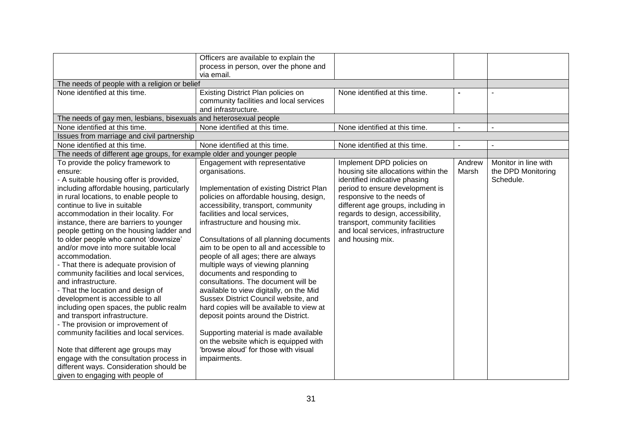|                                                                                                                                                                                                                                                                                                                                                                                                                                                                                                                                                                                                                                                                                                                                                                                                                                                                                                                                                                       | Officers are available to explain the<br>process in person, over the phone and                                                                                                                                                                                                                                                                                                                                                                                                                                                                                                                                                                                                                                                                                                                               |                                                                                                                                                                                                                                                                                                                                            |                 |                                                         |
|-----------------------------------------------------------------------------------------------------------------------------------------------------------------------------------------------------------------------------------------------------------------------------------------------------------------------------------------------------------------------------------------------------------------------------------------------------------------------------------------------------------------------------------------------------------------------------------------------------------------------------------------------------------------------------------------------------------------------------------------------------------------------------------------------------------------------------------------------------------------------------------------------------------------------------------------------------------------------|--------------------------------------------------------------------------------------------------------------------------------------------------------------------------------------------------------------------------------------------------------------------------------------------------------------------------------------------------------------------------------------------------------------------------------------------------------------------------------------------------------------------------------------------------------------------------------------------------------------------------------------------------------------------------------------------------------------------------------------------------------------------------------------------------------------|--------------------------------------------------------------------------------------------------------------------------------------------------------------------------------------------------------------------------------------------------------------------------------------------------------------------------------------------|-----------------|---------------------------------------------------------|
| The needs of people with a religion or belief                                                                                                                                                                                                                                                                                                                                                                                                                                                                                                                                                                                                                                                                                                                                                                                                                                                                                                                         | via email.                                                                                                                                                                                                                                                                                                                                                                                                                                                                                                                                                                                                                                                                                                                                                                                                   |                                                                                                                                                                                                                                                                                                                                            |                 |                                                         |
| None identified at this time.                                                                                                                                                                                                                                                                                                                                                                                                                                                                                                                                                                                                                                                                                                                                                                                                                                                                                                                                         | Existing District Plan policies on<br>community facilities and local services<br>and infrastructure.                                                                                                                                                                                                                                                                                                                                                                                                                                                                                                                                                                                                                                                                                                         | None identified at this time.                                                                                                                                                                                                                                                                                                              |                 |                                                         |
| The needs of gay men, lesbians, bisexuals and heterosexual people                                                                                                                                                                                                                                                                                                                                                                                                                                                                                                                                                                                                                                                                                                                                                                                                                                                                                                     |                                                                                                                                                                                                                                                                                                                                                                                                                                                                                                                                                                                                                                                                                                                                                                                                              |                                                                                                                                                                                                                                                                                                                                            |                 |                                                         |
| None identified at this time.                                                                                                                                                                                                                                                                                                                                                                                                                                                                                                                                                                                                                                                                                                                                                                                                                                                                                                                                         | None identified at this time.                                                                                                                                                                                                                                                                                                                                                                                                                                                                                                                                                                                                                                                                                                                                                                                | None identified at this time.                                                                                                                                                                                                                                                                                                              | $\overline{a}$  |                                                         |
| Issues from marriage and civil partnership                                                                                                                                                                                                                                                                                                                                                                                                                                                                                                                                                                                                                                                                                                                                                                                                                                                                                                                            |                                                                                                                                                                                                                                                                                                                                                                                                                                                                                                                                                                                                                                                                                                                                                                                                              |                                                                                                                                                                                                                                                                                                                                            |                 |                                                         |
| None identified at this time.                                                                                                                                                                                                                                                                                                                                                                                                                                                                                                                                                                                                                                                                                                                                                                                                                                                                                                                                         | None identified at this time.                                                                                                                                                                                                                                                                                                                                                                                                                                                                                                                                                                                                                                                                                                                                                                                | None identified at this time.                                                                                                                                                                                                                                                                                                              |                 |                                                         |
| The needs of different age groups, for example older and younger people                                                                                                                                                                                                                                                                                                                                                                                                                                                                                                                                                                                                                                                                                                                                                                                                                                                                                               |                                                                                                                                                                                                                                                                                                                                                                                                                                                                                                                                                                                                                                                                                                                                                                                                              |                                                                                                                                                                                                                                                                                                                                            |                 |                                                         |
| To provide the policy framework to<br>ensure:<br>- A suitable housing offer is provided,<br>including affordable housing, particularly<br>in rural locations, to enable people to<br>continue to live in suitable<br>accommodation in their locality. For<br>instance, there are barriers to younger<br>people getting on the housing ladder and<br>to older people who cannot 'downsize'<br>and/or move into more suitable local<br>accommodation.<br>- That there is adequate provision of<br>community facilities and local services,<br>and infrastructure.<br>- That the location and design of<br>development is accessible to all<br>including open spaces, the public realm<br>and transport infrastructure.<br>- The provision or improvement of<br>community facilities and local services.<br>Note that different age groups may<br>engage with the consultation process in<br>different ways. Consideration should be<br>given to engaging with people of | Engagement with representative<br>organisations.<br>Implementation of existing District Plan<br>policies on affordable housing, design,<br>accessibility, transport, community<br>facilities and local services,<br>infrastructure and housing mix.<br>Consultations of all planning documents<br>aim to be open to all and accessible to<br>people of all ages; there are always<br>multiple ways of viewing planning<br>documents and responding to<br>consultations. The document will be<br>available to view digitally, on the Mid<br>Sussex District Council website, and<br>hard copies will be available to view at<br>deposit points around the District.<br>Supporting material is made available<br>on the website which is equipped with<br>'browse aloud' for those with visual<br>impairments. | Implement DPD policies on<br>housing site allocations within the<br>identified indicative phasing<br>period to ensure development is<br>responsive to the needs of<br>different age groups, including in<br>regards to design, accessibility,<br>transport, community facilities<br>and local services, infrastructure<br>and housing mix. | Andrew<br>Marsh | Monitor in line with<br>the DPD Monitoring<br>Schedule. |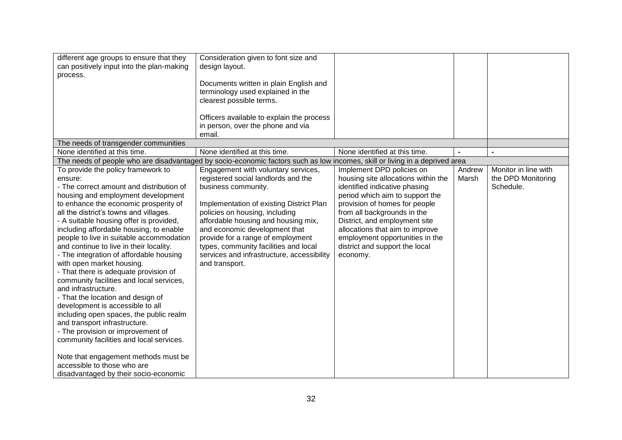| different age groups to ensure that they  | Consideration given to font size and                                                                                        |                                     |        |                      |
|-------------------------------------------|-----------------------------------------------------------------------------------------------------------------------------|-------------------------------------|--------|----------------------|
| can positively input into the plan-making | design layout.                                                                                                              |                                     |        |                      |
| process.                                  |                                                                                                                             |                                     |        |                      |
|                                           | Documents written in plain English and                                                                                      |                                     |        |                      |
|                                           | terminology used explained in the                                                                                           |                                     |        |                      |
|                                           | clearest possible terms.                                                                                                    |                                     |        |                      |
|                                           |                                                                                                                             |                                     |        |                      |
|                                           | Officers available to explain the process                                                                                   |                                     |        |                      |
|                                           | in person, over the phone and via                                                                                           |                                     |        |                      |
|                                           | email.                                                                                                                      |                                     |        |                      |
| The needs of transgender communities      |                                                                                                                             |                                     |        |                      |
| None identified at this time.             | None identified at this time.                                                                                               | None identified at this time.       |        |                      |
|                                           | The needs of people who are disadvantaged by socio-economic factors such as low incomes, skill or living in a deprived area |                                     |        |                      |
| To provide the policy framework to        | Engagement with voluntary services,                                                                                         | Implement DPD policies on           | Andrew | Monitor in line with |
| ensure:                                   | registered social landlords and the                                                                                         | housing site allocations within the | Marsh  | the DPD Monitoring   |
| - The correct amount and distribution of  | business community.                                                                                                         | identified indicative phasing       |        | Schedule.            |
| housing and employment development        |                                                                                                                             | period which aim to support the     |        |                      |
| to enhance the economic prosperity of     | Implementation of existing District Plan                                                                                    | provision of homes for people       |        |                      |
| all the district's towns and villages.    | policies on housing, including                                                                                              | from all backgrounds in the         |        |                      |
| - A suitable housing offer is provided,   | affordable housing and housing mix,                                                                                         | District, and employment site       |        |                      |
| including affordable housing, to enable   | and economic development that                                                                                               | allocations that aim to improve     |        |                      |
| people to live in suitable accommodation  | provide for a range of employment                                                                                           | employment opportunities in the     |        |                      |
| and continue to live in their locality.   | types, community facilities and local                                                                                       | district and support the local      |        |                      |
| - The integration of affordable housing   | services and infrastructure, accessibility                                                                                  | economy.                            |        |                      |
| with open market housing.                 | and transport.                                                                                                              |                                     |        |                      |
|                                           |                                                                                                                             |                                     |        |                      |
| - That there is adequate provision of     |                                                                                                                             |                                     |        |                      |
| community facilities and local services,  |                                                                                                                             |                                     |        |                      |
| and infrastructure.                       |                                                                                                                             |                                     |        |                      |
| - That the location and design of         |                                                                                                                             |                                     |        |                      |
| development is accessible to all          |                                                                                                                             |                                     |        |                      |
| including open spaces, the public realm   |                                                                                                                             |                                     |        |                      |
| and transport infrastructure.             |                                                                                                                             |                                     |        |                      |
| - The provision or improvement of         |                                                                                                                             |                                     |        |                      |
| community facilities and local services.  |                                                                                                                             |                                     |        |                      |
|                                           |                                                                                                                             |                                     |        |                      |
| Note that engagement methods must be      |                                                                                                                             |                                     |        |                      |
| accessible to those who are               |                                                                                                                             |                                     |        |                      |
| disadvantaged by their socio-economic     |                                                                                                                             |                                     |        |                      |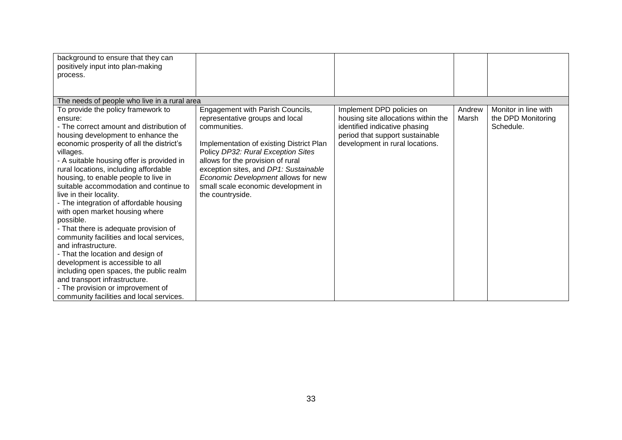| background to ensure that they can<br>positively input into plan-making |                                          |                                     |        |                      |
|-------------------------------------------------------------------------|------------------------------------------|-------------------------------------|--------|----------------------|
| process.                                                                |                                          |                                     |        |                      |
|                                                                         |                                          |                                     |        |                      |
| The needs of people who live in a rural area                            |                                          |                                     |        |                      |
| To provide the policy framework to                                      | Engagement with Parish Councils,         | Implement DPD policies on           | Andrew | Monitor in line with |
| ensure:                                                                 | representative groups and local          | housing site allocations within the | Marsh  | the DPD Monitoring   |
| - The correct amount and distribution of                                | communities.                             | identified indicative phasing       |        | Schedule.            |
| housing development to enhance the                                      |                                          | period that support sustainable     |        |                      |
| economic prosperity of all the district's                               | Implementation of existing District Plan | development in rural locations.     |        |                      |
| villages.                                                               | Policy DP32: Rural Exception Sites       |                                     |        |                      |
| - A suitable housing offer is provided in                               | allows for the provision of rural        |                                     |        |                      |
| rural locations, including affordable                                   | exception sites, and DP1: Sustainable    |                                     |        |                      |
| housing, to enable people to live in                                    | Economic Development allows for new      |                                     |        |                      |
| suitable accommodation and continue to                                  | small scale economic development in      |                                     |        |                      |
| live in their locality.                                                 | the countryside.                         |                                     |        |                      |
| - The integration of affordable housing                                 |                                          |                                     |        |                      |
| with open market housing where                                          |                                          |                                     |        |                      |
| possible.                                                               |                                          |                                     |        |                      |
| - That there is adequate provision of                                   |                                          |                                     |        |                      |
| community facilities and local services,                                |                                          |                                     |        |                      |
| and infrastructure.                                                     |                                          |                                     |        |                      |
| - That the location and design of                                       |                                          |                                     |        |                      |
| development is accessible to all                                        |                                          |                                     |        |                      |
| including open spaces, the public realm                                 |                                          |                                     |        |                      |
| and transport infrastructure.                                           |                                          |                                     |        |                      |
| - The provision or improvement of                                       |                                          |                                     |        |                      |
| community facilities and local services.                                |                                          |                                     |        |                      |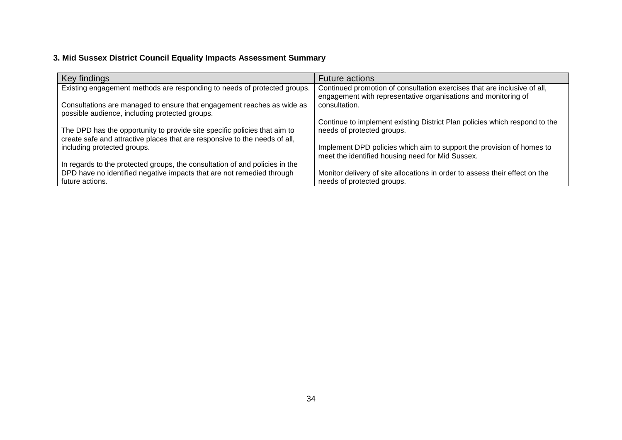### **3. Mid Sussex District Council Equality Impacts Assessment Summary**

| Key findings                                                                | <b>Future actions</b>                                                       |
|-----------------------------------------------------------------------------|-----------------------------------------------------------------------------|
| Existing engagement methods are responding to needs of protected groups.    | Continued promotion of consultation exercises that are inclusive of all,    |
|                                                                             | engagement with representative organisations and monitoring of              |
| Consultations are managed to ensure that engagement reaches as wide as      | consultation.                                                               |
| possible audience, including protected groups.                              |                                                                             |
|                                                                             | Continue to implement existing District Plan policies which respond to the  |
| The DPD has the opportunity to provide site specific policies that aim to   | needs of protected groups.                                                  |
| create safe and attractive places that are responsive to the needs of all,  |                                                                             |
| including protected groups.                                                 | Implement DPD policies which aim to support the provision of homes to       |
|                                                                             | meet the identified housing need for Mid Sussex.                            |
| In regards to the protected groups, the consultation of and policies in the |                                                                             |
| DPD have no identified negative impacts that are not remedied through       | Monitor delivery of site allocations in order to assess their effect on the |
| future actions.                                                             | needs of protected groups.                                                  |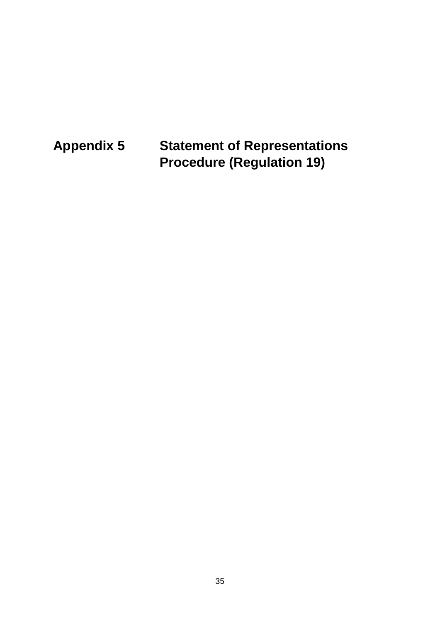<span id="page-35-0"></span>**Appendix 5 Statement of Representations Procedure (Regulation 19)**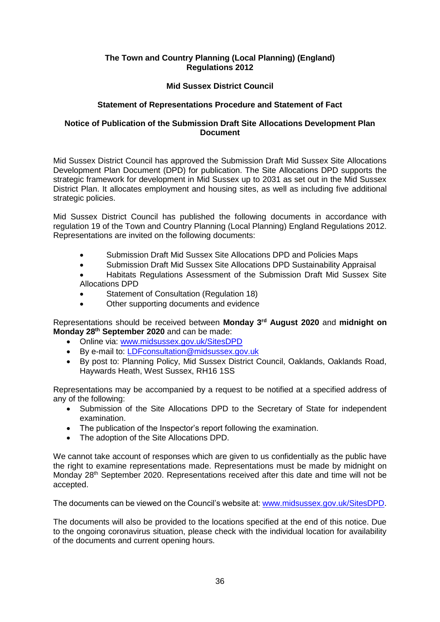### **The Town and Country Planning (Local Planning) (England) Regulations 2012**

### **Mid Sussex District Council**

### **Statement of Representations Procedure and Statement of Fact**

### **Notice of Publication of the Submission Draft Site Allocations Development Plan Document**

Mid Sussex District Council has approved the Submission Draft Mid Sussex Site Allocations Development Plan Document (DPD) for publication. The Site Allocations DPD supports the strategic framework for development in Mid Sussex up to 2031 as set out in the Mid Sussex District Plan. It allocates employment and housing sites, as well as including five additional strategic policies.

Mid Sussex District Council has published the following documents in accordance with regulation 19 of the Town and Country Planning (Local Planning) England Regulations 2012. Representations are invited on the following documents:

- Submission Draft Mid Sussex Site Allocations DPD and Policies Maps
- Submission Draft Mid Sussex Site Allocations DPD Sustainability Appraisal
- Habitats Regulations Assessment of the Submission Draft Mid Sussex Site Allocations DPD
- Statement of Consultation (Regulation 18)
- Other supporting documents and evidence

Representations should be received between **Monday 3rd August 2020** and **midnight on Monday 28th September 2020** and can be made:

- Online via: [www.midsussex.gov.uk/SitesDPD](http://www.midsussex.gov.uk/SitesDPD)
- By e-mail to: [LDFconsultation@midsussex.gov.uk](mailto:LDFconsultation@midsussex.gov.uk)
- By post to: Planning Policy, Mid Sussex District Council, Oaklands, Oaklands Road, Haywards Heath, West Sussex, RH16 1SS

Representations may be accompanied by a request to be notified at a specified address of any of the following:

- Submission of the Site Allocations DPD to the Secretary of State for independent examination.
- The publication of the Inspector's report following the examination.
- The adoption of the Site Allocations DPD.

We cannot take account of responses which are given to us confidentially as the public have the right to examine representations made. Representations must be made by midnight on Monday  $28<sup>th</sup>$  September 2020. Representations received after this date and time will not be accepted.

The documents can be viewed on the Council's website at: [www.midsussex.gov.uk/SitesDPD.](http://www.midsussex.gov.uk/SitesDPD)

The documents will also be provided to the locations specified at the end of this notice. Due to the ongoing coronavirus situation, please check with the individual location for availability of the documents and current opening hours.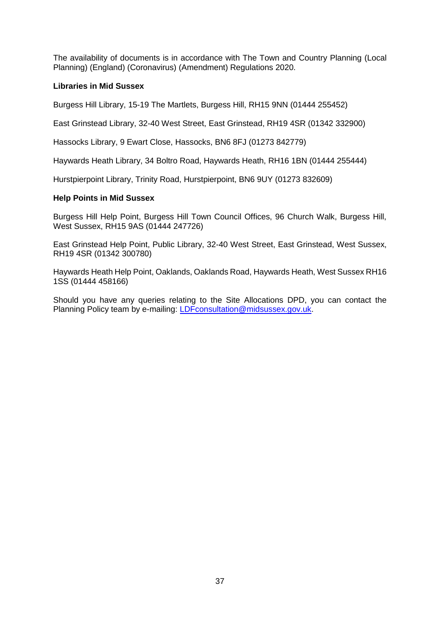The availability of documents is in accordance with The Town and Country Planning (Local Planning) (England) (Coronavirus) (Amendment) Regulations 2020.

### **Libraries in Mid Sussex**

Burgess Hill Library, 15-19 The Martlets, Burgess Hill, RH15 9NN (01444 255452)

East Grinstead Library, 32-40 West Street, East Grinstead, RH19 4SR (01342 332900)

Hassocks Library, 9 Ewart Close, Hassocks, BN6 8FJ (01273 842779)

Haywards Heath Library, 34 Boltro Road, Haywards Heath, RH16 1BN (01444 255444)

Hurstpierpoint Library, Trinity Road, Hurstpierpoint, BN6 9UY (01273 832609)

#### **Help Points in Mid Sussex**

Burgess Hill Help Point, Burgess Hill Town Council Offices, 96 Church Walk, Burgess Hill, West Sussex, RH15 9AS (01444 247726)

East Grinstead Help Point, Public Library, 32-40 West Street, East Grinstead, West Sussex, RH19 4SR (01342 300780)

Haywards Heath Help Point, Oaklands, Oaklands Road, Haywards Heath, West Sussex RH16 1SS (01444 458166)

Should you have any queries relating to the Site Allocations DPD, you can contact the Planning Policy team by e-mailing: [LDFconsultation@midsussex.gov.uk.](mailto:LDFconsultation@midsussex.gov.uk)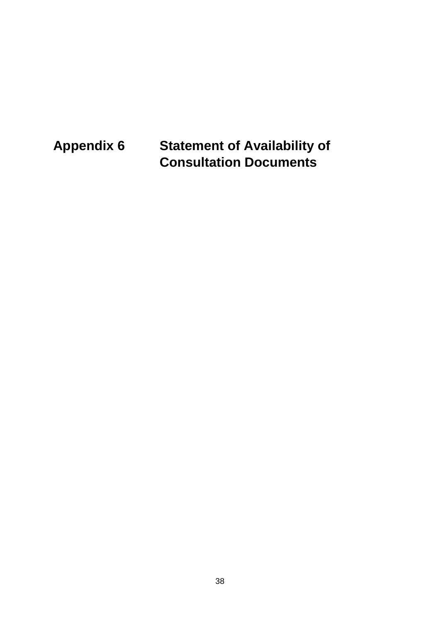<span id="page-38-0"></span>**Appendix 6 Statement of Availability of Consultation Documents**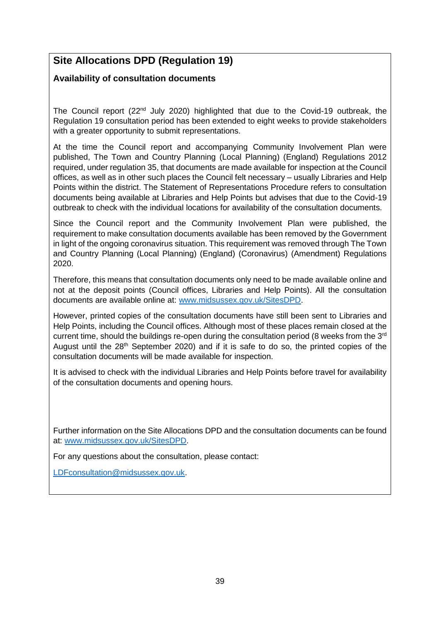### **Site Allocations DPD (Regulation 19)**

### **Availability of consultation documents**

The Council report (22nd July 2020) highlighted that due to the Covid-19 outbreak, the Regulation 19 consultation period has been extended to eight weeks to provide stakeholders with a greater opportunity to submit representations.

At the time the Council report and accompanying Community Involvement Plan were published, The Town and Country Planning (Local Planning) (England) Regulations 2012 required, under regulation 35, that documents are made available for inspection at the Council offices, as well as in other such places the Council felt necessary – usually Libraries and Help Points within the district. The Statement of Representations Procedure refers to consultation documents being available at Libraries and Help Points but advises that due to the Covid-19 outbreak to check with the individual locations for availability of the consultation documents.

Since the Council report and the Community Involvement Plan were published, the requirement to make consultation documents available has been removed by the Government in light of the ongoing coronavirus situation. This requirement was removed through The Town and Country Planning (Local Planning) (England) (Coronavirus) (Amendment) Regulations 2020.

Therefore, this means that consultation documents only need to be made available online and not at the deposit points (Council offices, Libraries and Help Points). All the consultation documents are available online at: [www.midsussex.gov.uk/SitesDPD.](http://www.midsussex.gov.uk/SitesDPD)

However, printed copies of the consultation documents have still been sent to Libraries and Help Points, including the Council offices. Although most of these places remain closed at the current time, should the buildings re-open during the consultation period (8 weeks from the  $3<sup>rd</sup>$ August until the  $28<sup>th</sup>$  September 2020) and if it is safe to do so, the printed copies of the consultation documents will be made available for inspection.

It is advised to check with the individual Libraries and Help Points before travel for availability of the consultation documents and opening hours.

Further information on the Site Allocations DPD and the consultation documents can be found at: [www.midsussex.gov.uk/SitesDPD.](http://www.midsussex.gov.uk/SitesDPD)

For any questions about the consultation, please contact:

[LDFconsultation@midsussex.gov.uk.](mailto:LDFconsultation@midsussex.gov.uk)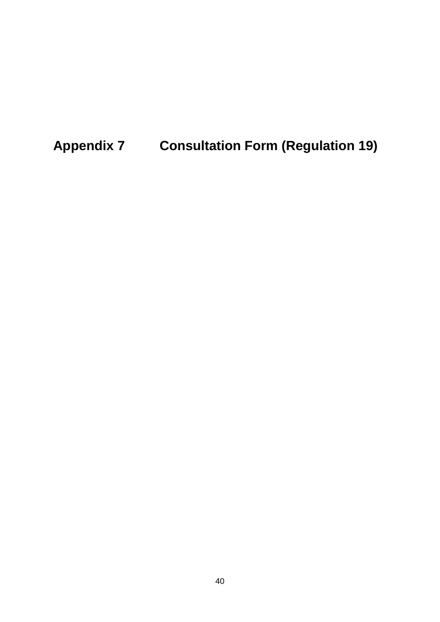<span id="page-40-0"></span>**Appendix 7 Consultation Form (Regulation 19)**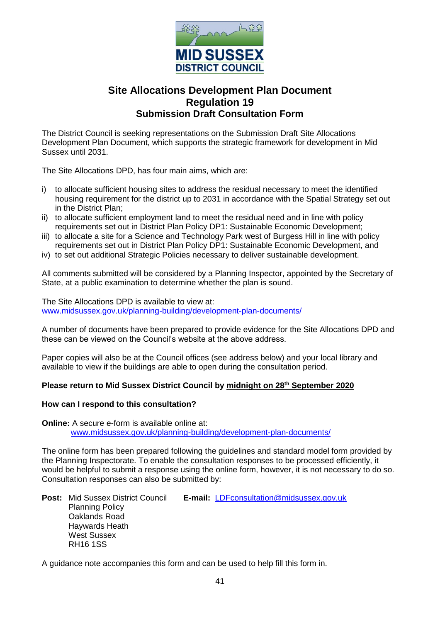

### **Site Allocations Development Plan Document Regulation 19 Submission Draft Consultation Form**

The District Council is seeking representations on the Submission Draft Site Allocations Development Plan Document, which supports the strategic framework for development in Mid Sussex until 2031.

The Site Allocations DPD, has four main aims, which are:

- i) to allocate sufficient housing sites to address the residual necessary to meet the identified housing requirement for the district up to 2031 in accordance with the Spatial Strategy set out in the District Plan;
- ii) to allocate sufficient employment land to meet the residual need and in line with policy requirements set out in District Plan Policy DP1: Sustainable Economic Development;
- iii) to allocate a site for a Science and Technology Park west of Burgess Hill in line with policy requirements set out in District Plan Policy DP1: Sustainable Economic Development, and
- iv) to set out additional Strategic Policies necessary to deliver sustainable development.

All comments submitted will be considered by a Planning Inspector, appointed by the Secretary of State, at a public examination to determine whether the plan is sound.

The Site Allocations DPD is available to view at: [www.midsussex.gov.uk/planning-building/development-plan-documents/](http://www.midsussex.gov.uk/planning-building/development-plan-documents/)

A number of documents have been prepared to provide evidence for the Site Allocations DPD and these can be viewed on the Council's website at the above address.

Paper copies will also be at the Council offices (see address below) and your local library and available to view if the buildings are able to open during the consultation period.

### **Please return to Mid Sussex District Council by midnight on 28th September 2020**

### **How can I respond to this consultation?**

**Online:** A secure e-form is available online at:

[www.midsussex.gov.uk/planning-building/development-plan-documents/](http://www.midsussex.gov.uk/planning-building/development-plan-documents/)

The online form has been prepared following the guidelines and standard model form provided by the Planning Inspectorate. To enable the consultation responses to be processed efficiently, it would be helpful to submit a response using the online form, however, it is not necessary to do so. Consultation responses can also be submitted by:

**Post:** Mid Sussex District Council **E-mail:** [LDFconsultation@midsussex.gov.uk](mailto:LDFconsultation@midsussex.gov.uk) Planning Policy Oaklands Road Haywards Heath West Sussex RH16 1SS

A guidance note accompanies this form and can be used to help fill this form in.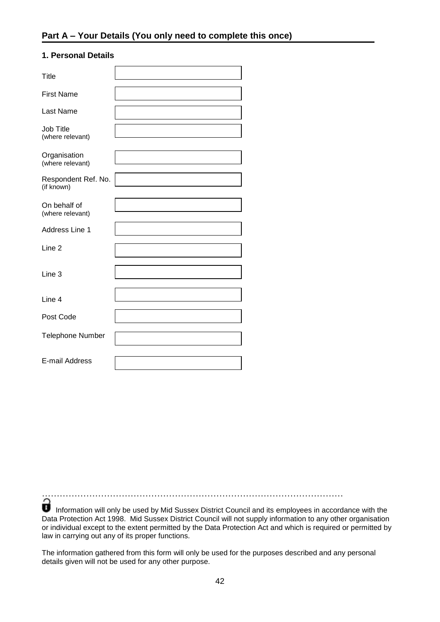### **1. Personal Details**

| Title                             |  |
|-----------------------------------|--|
| <b>First Name</b>                 |  |
| Last Name                         |  |
| Job Title<br>(where relevant)     |  |
| Organisation<br>(where relevant)  |  |
| Respondent Ref. No.<br>(if known) |  |
| On behalf of<br>(where relevant)  |  |
| Address Line 1                    |  |
| Line 2                            |  |
| Line 3                            |  |
| Line 4                            |  |
| Post Code                         |  |
| <b>Telephone Number</b>           |  |
| E-mail Address                    |  |

…………………………………………………………………………………………

Information will only be used by Mid Sussex District Council and its employees in accordance with the Data Protection Act 1998. Mid Sussex District Council will not supply information to any other organisation or individual except to the extent permitted by the Data Protection Act and which is required or permitted by law in carrying out any of its proper functions.

The information gathered from this form will only be used for the purposes described and any personal details given will not be used for any other purpose.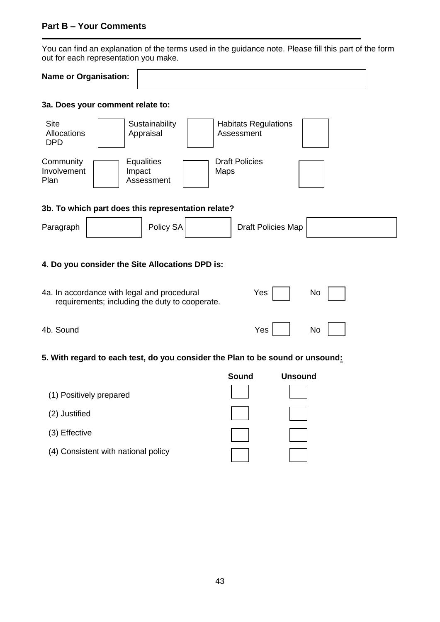### **Part B – Your Comments**

You can find an explanation of the terms used in the guidance note. Please fill this part of the form out for each representation you make.

**Name or Organisation:**

### **3a. Does your comment relate to:**



#### **3b. To which part does this representation relate?**

| Paragraph |  | Policy SA |  | Draft Policies Map |  |
|-----------|--|-----------|--|--------------------|--|
|-----------|--|-----------|--|--------------------|--|

### **4. Do you consider the Site Allocations DPD is:**

| 4a. In accordance with legal and procedural<br>requirements; including the duty to cooperate. | Yes | N <sub>o</sub> |
|-----------------------------------------------------------------------------------------------|-----|----------------|
| 4b. Sound                                                                                     | Yes | <b>No</b>      |

### **5. With regard to each test, do you consider the Plan to be sound or unsound:**

|                                     | Sound | <b>Unsound</b> |
|-------------------------------------|-------|----------------|
| (1) Positively prepared             |       |                |
| (2) Justified                       |       |                |
| (3) Effective                       |       |                |
| (4) Consistent with national policy |       |                |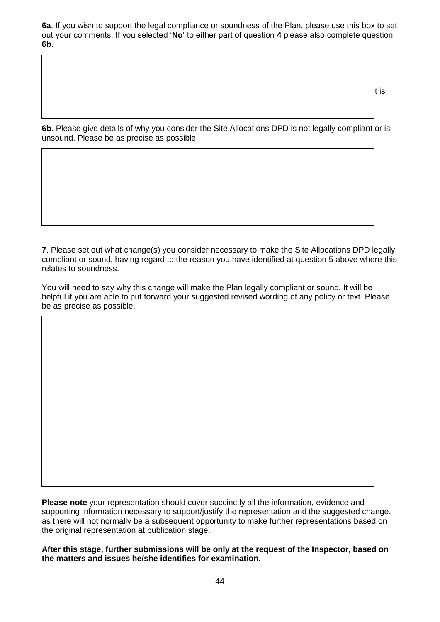**6a**. If you wish to support the legal compliance or soundness of the Plan, please use this box to set out your comments. If you selected '**No**' to either part of question **4** please also complete question **6b**.

**6b.** Please give details of why you consider the Site Allocations Development Plan Document is

**6b.** Please give details of why you consider the Site Allocations DPD is not legally compliant or is unsound. Please be as precise as possible.

not legally compliant or is unsound. Please be as precise as possible.

**7**. Please set out what change(s) you consider necessary to make the Site Allocations DPD legally compliant or sound, having regard to the reason you have identified at question 5 above where this relates to soundness.

You will need to say why this change will make the Plan legally compliant or sound. It will be helpful if you are able to put forward your suggested revised wording of any policy or text. Please be as precise as possible.

**Please note** your representation should cover succinctly all the information, evidence and supporting information necessary to support/justify the representation and the suggested change, as there will not normally be a subsequent opportunity to make further representations based on the original representation at publication stage.

**After this stage, further submissions will be only at the request of the Inspector, based on the matters and issues he/she identifies for examination.**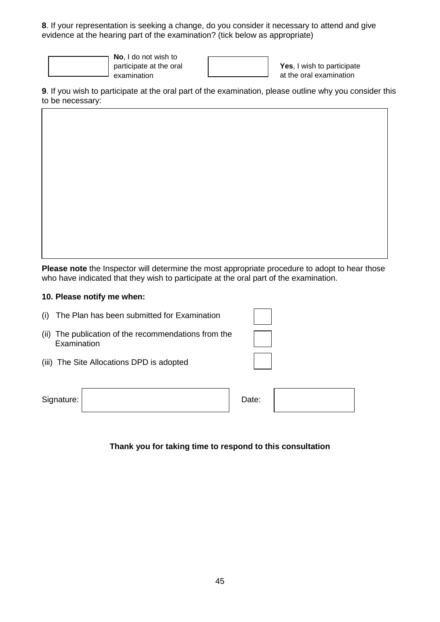**8**. If your representation is seeking a change, do you consider it necessary to attend and give evidence at the hearing part of the examination? (tick below as appropriate)





**Yes**, I wish to participate at the oral examination

**9**. If you wish to participate at the oral part of the examination, please outline why you consider this to be necessary:

**Please note** the Inspector will determine the most appropriate procedure to adopt to hear those who have indicated that they wish to participate at the oral part of the examination.

#### **10. Please notify me when:**

| (i)  | The Plan has been submitted for Examination                    |       |
|------|----------------------------------------------------------------|-------|
| (ii) | The publication of the recommendations from the<br>Examination |       |
|      | (iii) The Site Allocations DPD is adopted                      |       |
|      | Signature:                                                     | Date: |

### **Thank you for taking time to respond to this consultation**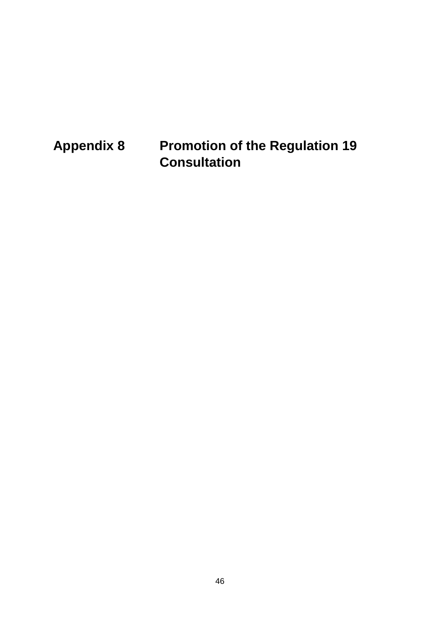<span id="page-46-0"></span>**Appendix 8 Promotion of the Regulation 19 Consultation**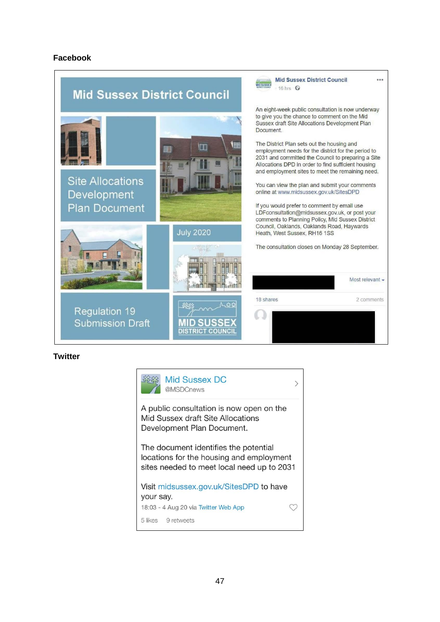#### **Facebook**



#### **Twitter**

| <b>Mid Sussex DC</b><br>@MSDCnews                                                                                               |  |
|---------------------------------------------------------------------------------------------------------------------------------|--|
| A public consultation is now open on the<br>Mid Sussex draft Site Allocations<br>Development Plan Document.                     |  |
| The document identifies the potential<br>locations for the housing and employment<br>sites needed to meet local need up to 2031 |  |
| Visit midsussex.gov.uk/SitesDPD to have<br>your say.                                                                            |  |
| 18:03 - 4 Aug 20 via Twitter Web App                                                                                            |  |
| 5 likes 9 retweets                                                                                                              |  |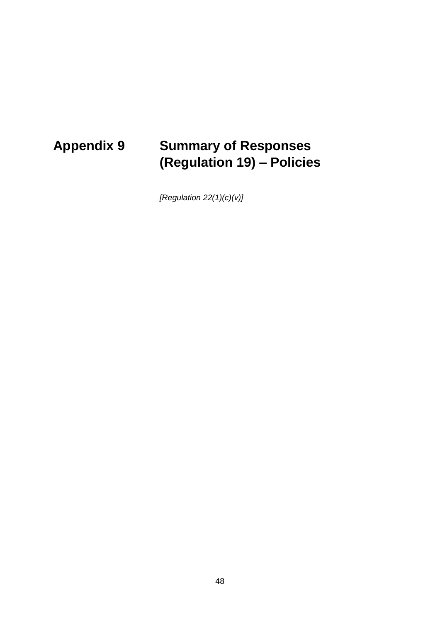## <span id="page-48-0"></span>**Appendix 9 Summary of Responses (Regulation 19) – Policies**

*[Regulation 22(1)(c)(v)]*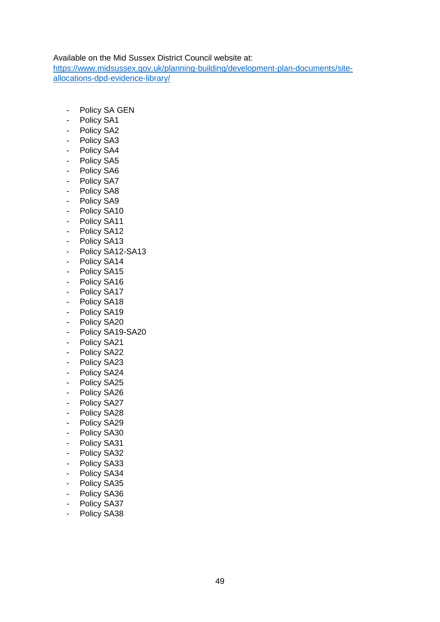Available on the Mid Sussex District Council website at:

[https://www.midsussex.gov.uk/planning-building/development-plan-documents/site](https://www.midsussex.gov.uk/planning-building/development-plan-documents/site-allocations-dpd-evidence-library/)[allocations-dpd-evidence-library/](https://www.midsussex.gov.uk/planning-building/development-plan-documents/site-allocations-dpd-evidence-library/)

- Policy SA GEN
- Policy SA1
- Policy SA2
- Policy SA3
- Policy SA4
- Policy SA5
- Policy SA6
- Policy SA7
- Policy SA8
- Policy SA9
- Policy SA10
- Policy SA11
- Policy SA12
- Policy SA13
- Policy SA12-SA13
- Policy SA14
- Policy SA15
- Policy SA16
- Policy SA17
- Policy SA18
- Policy SA19
- Policy SA20
- Policy SA19-SA20
- Policy SA21
- Policy SA22
- Policy SA23
- Policy SA24
- Policy SA25
- Policy SA26
- Policy SA27
- Policy SA28
- Policy SA29
- Policy SA30
- Policy SA31
- Policy SA32
- Policy SA33
- Policy SA34
- 
- Policy SA35
- Policy SA36
- Policy SA37
- Policy SA38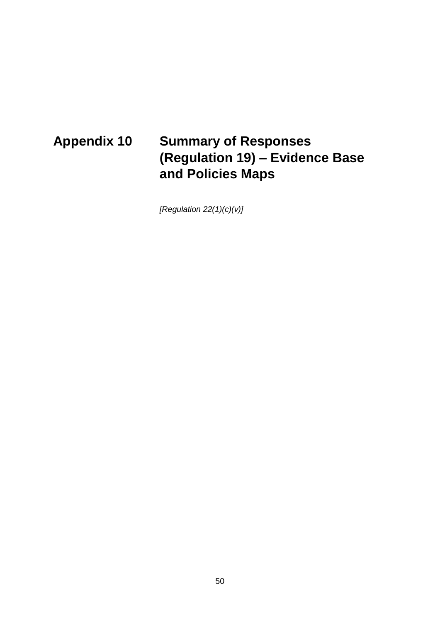### <span id="page-50-0"></span>**Appendix 10 Summary of Responses (Regulation 19) – Evidence Base and Policies Maps**

*[Regulation 22(1)(c)(v)]*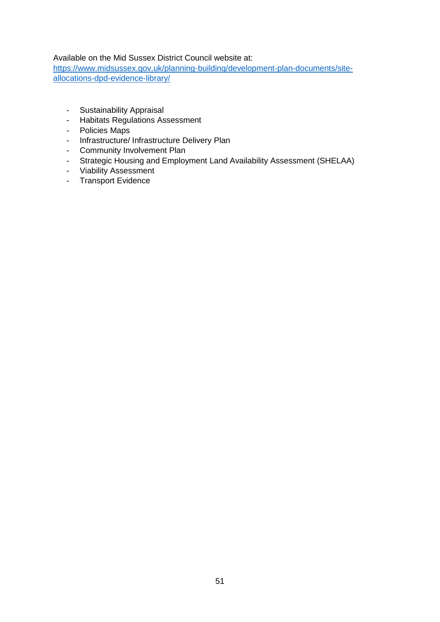### Available on the Mid Sussex District Council website at:

[https://www.midsussex.gov.uk/planning-building/development-plan-documents/site](https://www.midsussex.gov.uk/planning-building/development-plan-documents/site-allocations-dpd-evidence-library/)[allocations-dpd-evidence-library/](https://www.midsussex.gov.uk/planning-building/development-plan-documents/site-allocations-dpd-evidence-library/)

- Sustainability Appraisal
- Habitats Regulations Assessment
- Policies Maps
- Infrastructure/ Infrastructure Delivery Plan
- Community Involvement Plan
- Strategic Housing and Employment Land Availability Assessment (SHELAA)
- Viability Assessment
- Transport Evidence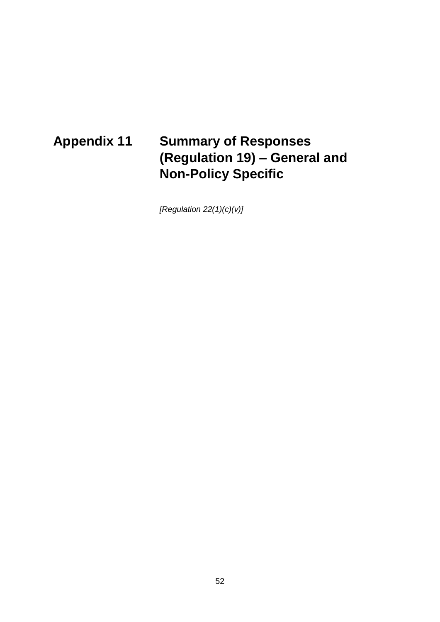## <span id="page-52-0"></span>**Appendix 11 Summary of Responses (Regulation 19) – General and Non-Policy Specific**

*[Regulation 22(1)(c)(v)]*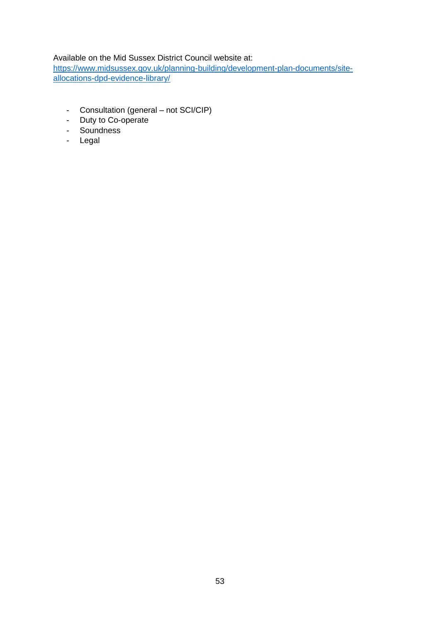### Available on the Mid Sussex District Council website at:

[https://www.midsussex.gov.uk/planning-building/development-plan-documents/site](https://www.midsussex.gov.uk/planning-building/development-plan-documents/site-allocations-dpd-evidence-library/)[allocations-dpd-evidence-library/](https://www.midsussex.gov.uk/planning-building/development-plan-documents/site-allocations-dpd-evidence-library/)

- Consultation (general not SCI/CIP)
- Duty to Co-operate
- Soundness
- Legal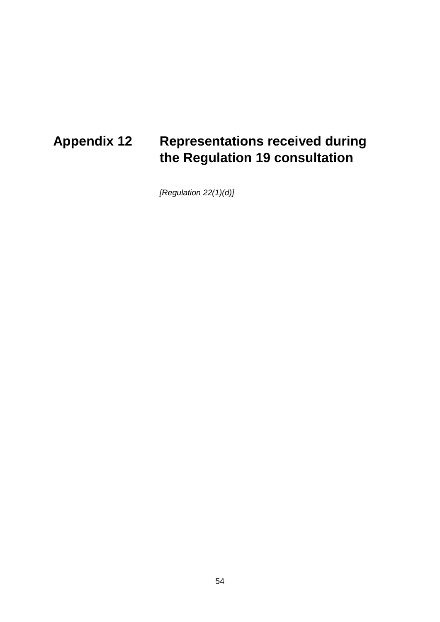## <span id="page-54-0"></span>**Appendix 12 Representations received during the Regulation 19 consultation**

*[Regulation 22(1)(d)]*